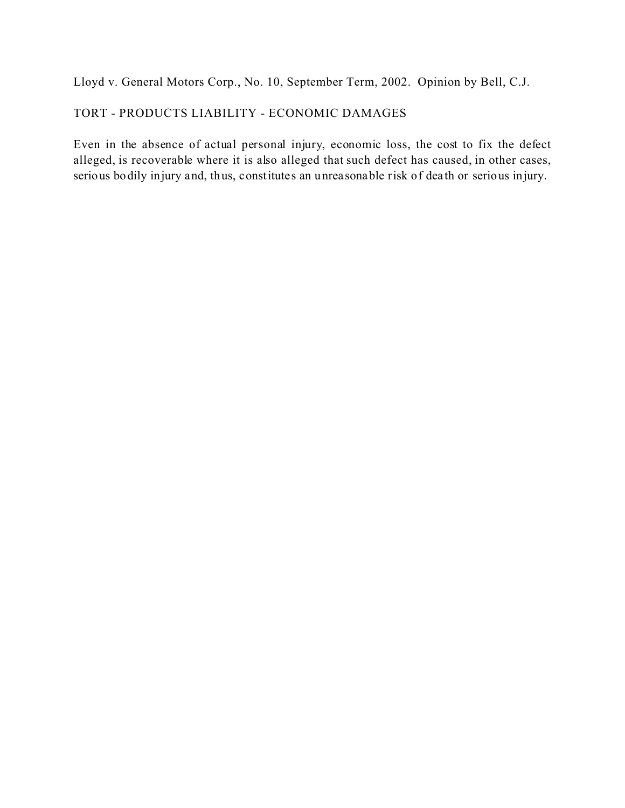Lloyd v. General Motors Corp., No. 10, September Term, 2002. Opinion by Bell, C.J.

# TORT - PRODUCTS LIABILITY - ECONOMIC DAMAGES

Even in the absence of actual personal injury, economic loss, the cost to fix the defect alleged, is recoverable where it is also alleged that such defect has caused, in other cases, serious bodily injury and, thus, constitutes an unreasonable risk of dea th or serious injury.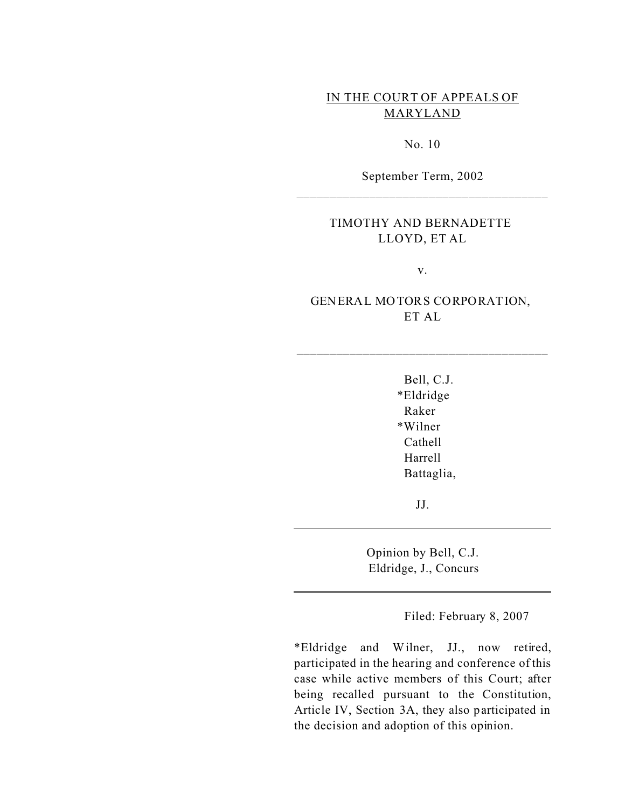# IN THE COURT OF APPEALS OF MARYLAND

No. 10

September Term, 2002 \_\_\_\_\_\_\_\_\_\_\_\_\_\_\_\_\_\_\_\_\_\_\_\_\_\_\_\_\_\_\_\_\_\_\_\_\_\_

## TIMOTHY AND BERNADETTE LLOYD, ET AL

v.

# GENERAL MOTORS CORPORATION, ET AL

\_\_\_\_\_\_\_\_\_\_\_\_\_\_\_\_\_\_\_\_\_\_\_\_\_\_\_\_\_\_\_\_\_\_\_\_\_\_

Bell, C.J. \*Eldridge Raker \*Wilner Cathell Harrell Battaglia,

JJ.

Opinion by Bell, C.J. Eldridge, J., Concurs

Filed: February 8, 2007

\*Eldridge and Wilner, JJ., now retired, participated in the hearing and conference of this case while active members of this Court; after being recalled pursuant to the Constitution, Article IV, Section 3A, they also participated in the decision and adoption of this opinion.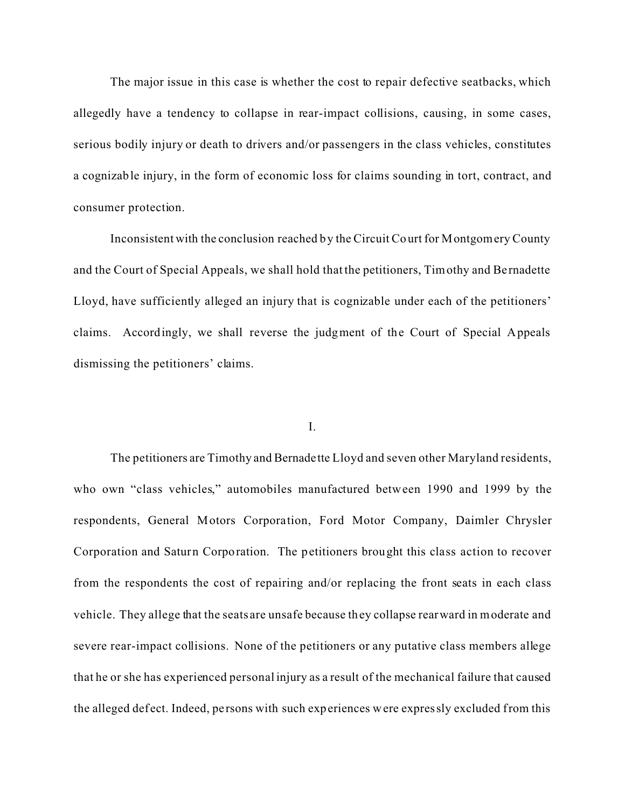The major issue in this case is whether the cost to repair defective seatbacks, which allegedly have a tendency to collapse in rear-impact collisions, causing, in some cases, serious bodily injury or death to drivers and/or passengers in the class vehicles, constitutes a cognizable injury, in the form of economic loss for claims sounding in tort, contract, and consumer protection.

Inconsistent with the conclusion reached by the Circuit Court for Montgomery County and the Court of Special Appeals, we shall hold that the petitioners, Timothy and Be rnadette Lloyd, have sufficiently alleged an injury that is cognizable under each of the petitioners' claims. Accordingly, we shall reverse the judgment of the Court of Special Appeals dismissing the petitioners' claims.

#### I.

The petitioners are Timothy and Bernadette Lloyd and seven other Maryland residents, who own "class vehicles," automobiles manufactured between 1990 and 1999 by the respondents, General Motors Corporation, Ford Motor Company, Daimler Chrysler Corporation and Saturn Corporation. The petitioners brought this class action to recover from the respondents the cost of repairing and/or replacing the front seats in each class vehicle. They allege that the seats are unsafe because they collapse rearward in moderate and severe rear-impact collisions. None of the petitioners or any putative class members allege that he or she has experienced personal injury as a result of the mechanical failure that caused the alleged def ect. Indeed, pe rsons with such experiences were expressly excluded from this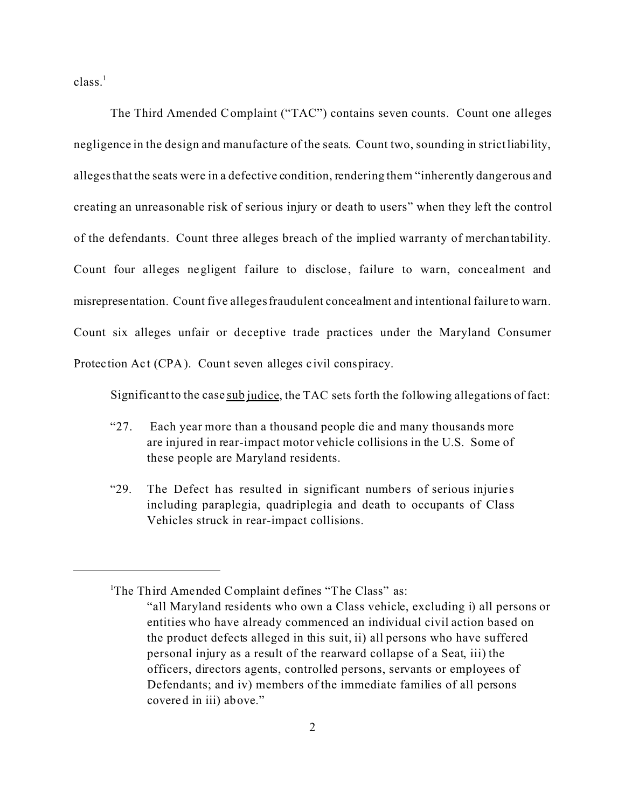$class.<sup>1</sup>$ 

The Third Amended Complaint ("TAC") contains seven counts. Count one alleges negligence in the design and manufacture of the seats. Count two, sounding in strict liability, alleges that the seats were in a defective condition, rendering them "inherently dangerous and creating an unreasonable risk of serious injury or death to users" when they left the control of the defendants. Count three alleges breach of the implied warranty of merchantability. Count four alleges negligent failure to disclose, failure to warn, concealment and misrepresentation. Count five alleges fraudulent concealment and intentional failure to warn. Count six alleges unfair or deceptive trade practices under the Maryland Consumer Protection Act (CPA). Count seven alleges civil conspiracy.

Significant to the case sub judice, the TAC sets forth the following allegations of fact:

- "27. Each year more than a thousand people die and many thousands more are injured in rear-impact motor vehicle collisions in the U.S. Some of these people are Maryland residents.
- "29. The Defect has resulted in significant numbers of serious injuries including paraplegia, quadriplegia and death to occupants of Class Vehicles struck in rear-impact collisions.

<sup>&</sup>lt;sup>1</sup>The Third Amended Complaint defines "The Class" as: "all Maryland residents who own a Class vehicle, excluding i) all persons or entities who have already commenced an individual civil action based on the product defects alleged in this suit, ii) all persons who have suffered personal injury as a result of the rearward collapse of a Seat, iii) the officers, directors agents, controlled persons, servants or employees of Defendants; and iv) members of the immediate families of all persons covered in iii) above."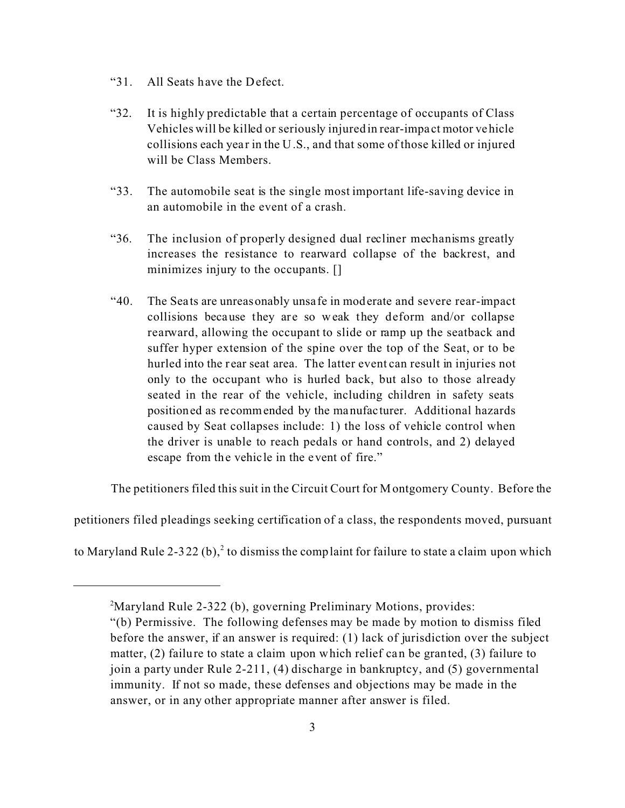- "31. All Seats have the Defect.
- "32. It is highly predictable that a certain percentage of occupants of Class Vehicles will be killed or seriously injured in rear-impa ct motor vehicle collisions each year in the U.S., and that some of those killed or injured will be Class Members.
- "33. The automobile seat is the single most important life-saving device in an automobile in the event of a crash.
- "36. The inclusion of properly designed dual recliner mechanisms greatly increases the resistance to rearward collapse of the backrest, and minimizes injury to the occupants. []
- "40. The Sea ts are unreasonably unsafe in moderate and severe rear-impact collisions because they are so weak they deform and/or collapse rearward, allowing the occupant to slide or ramp up the seatback and suffer hyper extension of the spine over the top of the Seat, or to be hurled into the rear seat area. The latter event can result in injuries not only to the occupant who is hurled back, but also to those already seated in the rear of the vehicle, including children in safety seats positioned as recommended by the manufacturer. Additional hazards caused by Seat collapses include: 1) the loss of vehicle control when the driver is unable to reach pedals or hand controls, and 2) delayed escape from the vehicle in the event of fire."

The petitioners filed this suit in the Circuit Court for Montgomery County. Before the

petitioners filed pleadings seeking certification of a class, the respondents moved, pursuant

to Maryland Rule 2-322 (b),<sup>2</sup> to dismiss the complaint for failure to state a claim upon which

<sup>&</sup>lt;sup>2</sup>Maryland Rule 2-322 (b), governing Preliminary Motions, provides:

<sup>&</sup>quot;(b) Permissive. The following defenses may be made by motion to dismiss filed before the answer, if an answer is required: (1) lack of jurisdiction over the subject matter, (2) failure to state a claim upon which relief can be granted, (3) failure to join a party under Rule 2-211, (4) discharge in bankruptcy, and (5) governmental immunity. If not so made, these defenses and objections may be made in the answer, or in any other appropriate manner after answer is filed.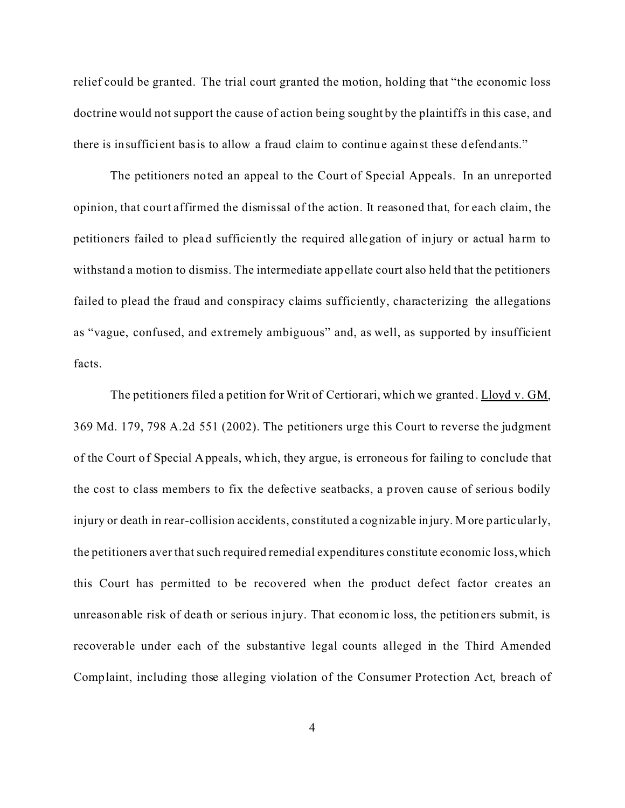relief could be granted. The trial court granted the motion, holding that "the economic loss doctrine would not support the cause of action being sought by the plaintiffs in this case, and there is insufficient basis to allow a fraud claim to continue against these defendants."

The petitioners noted an appeal to the Court of Special Appeals. In an unreported opinion, that court affirmed the dismissal of the action. It reasoned that, for each claim, the petitioners failed to plead sufficiently the required allegation of injury or actual harm to withstand a motion to dismiss. The intermediate appellate court also held that the petitioners failed to plead the fraud and conspiracy claims sufficiently, characterizing the allegations as "vague, confused, and extremely ambiguous" and, as well, as supported by insufficient facts.

The petitioners filed a petition for Writ of Certiorari, which we granted. Lloyd v. GM, 369 Md. 179, 798 A.2d 551 (2002). The petitioners urge this Court to reverse the judgment of the Court of Special Appeals, which, they argue, is erroneous for failing to conclude that the cost to class members to fix the defective seatbacks, a proven cause of serious bodily injury or death in rear-collision accidents, constituted a cognizable injury. More particularly, the petitioners aver that such required remedial expenditures constitute economic loss, which this Court has permitted to be recovered when the product defect factor creates an unreasonable risk of death or serious injury. That economic loss, the petitioners submit, is recoverable under each of the substantive legal counts alleged in the Third Amended Complaint, including those alleging violation of the Consumer Protection Act, breach of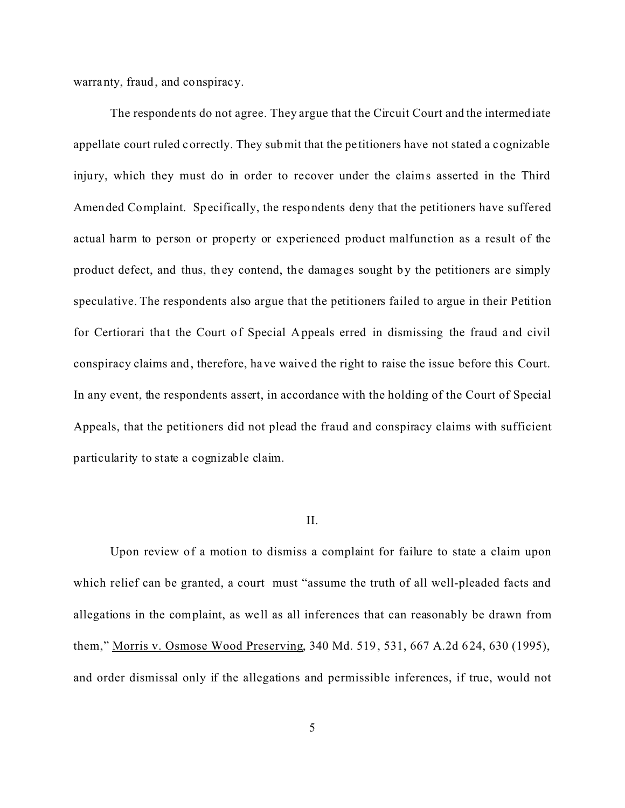warranty, fraud, and conspiracy.

The respondents do not agree. They argue that the Circuit Court and the intermediate appellate court ruled correctly. They submit that the pe titioners have not stated a cognizable injury, which they must do in order to recover under the claims asserted in the Third Amended Complaint. Specifically, the respondents deny that the petitioners have suffered actual harm to person or property or experienced product malfunction as a result of the product defect, and thus, they contend, the damages sought by the petitioners are simply speculative. The respondents also argue that the petitioners failed to argue in their Petition for Certiorari that the Court of Special Appeals erred in dismissing the fraud and civil conspiracy claims and, therefore, have waived the right to raise the issue before this Court. In any event, the respondents assert, in accordance with the holding of the Court of Special Appeals, that the petitioners did not plead the fraud and conspiracy claims with sufficient particularity to state a cognizable claim.

#### II.

Upon review of a motion to dismiss a complaint for failure to state a claim upon which relief can be granted, a court must "assume the truth of all well-pleaded facts and allegations in the complaint, as we ll as all inferences that can reasonably be drawn from them," Morris v. Osmose Wood Preserving, 340 Md. 519, 531, 667 A.2d 624, 630 (1995), and order dismissal only if the allegations and permissible inferences, if true, would not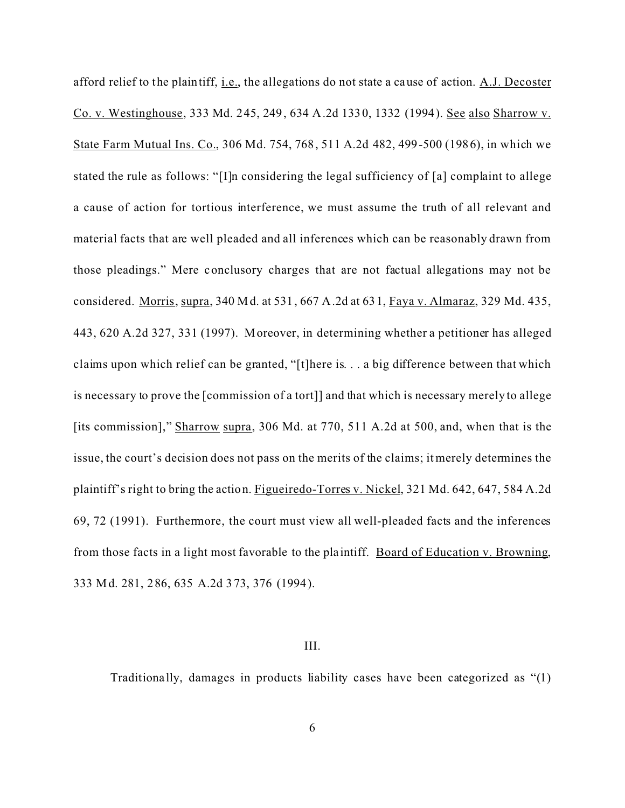afford relief to the plaintiff, *i.e.*, the allegations do not state a cause of action. A.J. Decoster Co. v. Westinghouse, 333 Md. 245, 249, 634 A.2d 1330, 1332 (1994). See also Sharrow v. State Farm Mutual Ins. Co., 306 Md. 754, 768, 511 A.2d 482, 499-500 (1986), in which we stated the rule as follows: "[I]n considering the legal sufficiency of [a] complaint to allege a cause of action for tortious interference, we must assume the truth of all relevant and material facts that are well pleaded and all inferences which can be reasonably drawn from those pleadings." Mere conclusory charges that are not factual allegations may not be considered. Morris, supra, 340 Md. at 531, 667 A.2d at 631, Faya v. Almaraz, 329 Md. 435, 443, 620 A.2d 327, 331 (1997). Moreover, in determining whether a petitioner has alleged claims upon which relief can be granted, "[t]here is. . . a big difference between that which is necessary to prove the [commission of a tort]] and that which is necessary merely to allege [its commission]," Sharrow supra, 306 Md. at 770, 511 A.2d at 500, and, when that is the issue, the court's decision does not pass on the merits of the claims; it merely determines the plaintiff's right to bring the action. Figueiredo-Torres v. Nickel, 321 Md. 642, 647, 584 A.2d 69, 72 (1991). Furthermore, the court must view all well-pleaded facts and the inferences from those facts in a light most favorable to the plaintiff. Board of Education v. Browning, 333 Md. 281, 286, 635 A.2d 373, 376 (1994).

## III.

Traditiona lly, damages in products liability cases have been categorized as "(1)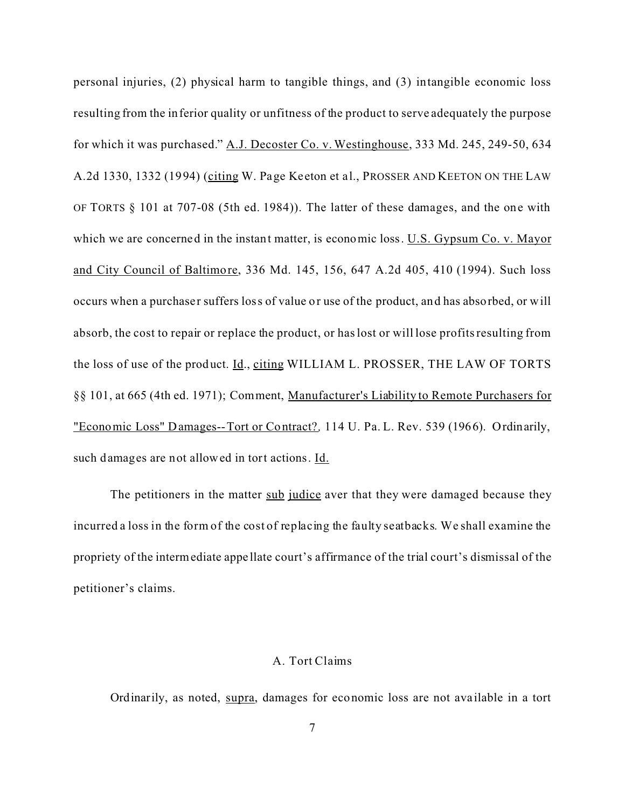personal injuries, (2) physical harm to tangible things, and (3) intangible economic loss resulting from the inferior quality or unfitness of the product to serve adequately the purpose for which it was purchased." A.J. Decoster Co. v. Westinghouse, 333 Md. 245, 249-50, 634 A.2d 1330, 1332 (1994) (citing W. Page Keeton et al., PROSSER AND KEETON ON THE LAW OF TORTS § 101 at 707-08 (5th ed. 1984)). The latter of these damages, and the one with which we are concerned in the instant matter, is economic loss. U.S. Gypsum Co. v. Mayor and City Council of Baltimore, 336 Md. 145, 156, 647 A.2d 405, 410 (1994). Such loss occurs when a purchaser suffers loss of value or use of the product, and has absorbed, or will absorb, the cost to repair or replace the product, or has lost or will lose profits resulting from the loss of use of the product. Id., citing WILLIAM L. PROSSER, THE LAW OF TORTS §§ 101, at 665 (4th ed. 1971); Comment, Manufacturer's Liability to Remote Purchasers for "Economic Loss" Damages--Tort or Contract?*,* 114 U. Pa. L. Rev. 539 (1966). Ordinarily, such damages are not allowed in tort actions. Id.

The petitioners in the matter sub judice aver that they were damaged because they incurred a loss in the form of the cost of replacing the faulty seatbacks. We shall examine the propriety of the intermediate appe llate court's affirmance of the trial court's dismissal of the petitioner's claims.

#### A. Tort Claims

Ordinarily, as noted, supra, damages for economic loss are not ava ilable in a tort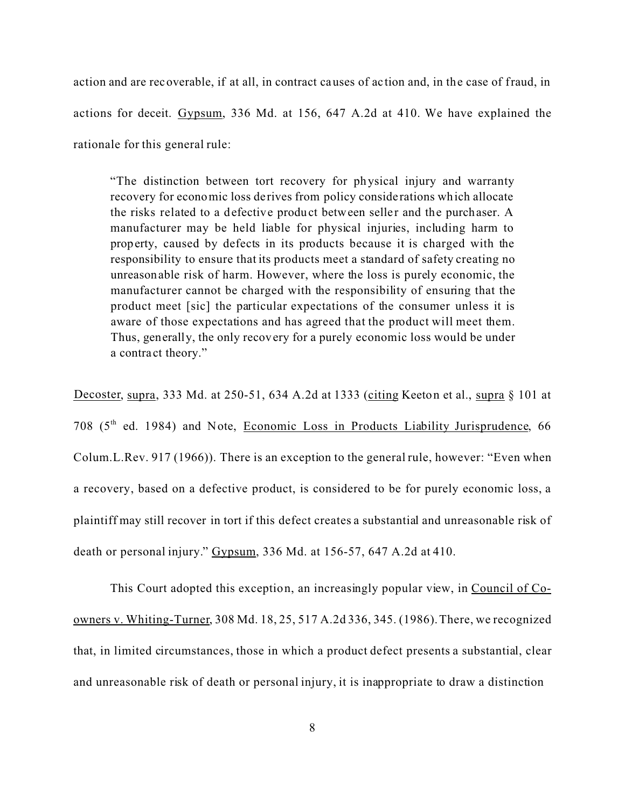action and are recoverable, if at all, in contract causes of ac tion and, in the case of fraud, in actions for deceit. Gypsum, 336 Md. at 156, 647 A.2d at 410. We have explained the rationale for this general rule:

"The distinction between tort recovery for physical injury and warranty recovery for economic loss derives from policy conside rations which allocate the risks related to a defective product between seller and the purchaser. A manufacturer may be held liable for physical injuries, including harm to property, caused by defects in its products because it is charged with the responsibility to ensure that its products meet a standard of safety creating no unreasonable risk of harm. However, where the loss is purely economic, the manufacturer cannot be charged with the responsibility of ensuring that the product meet [sic] the particular expectations of the consumer unless it is aware of those expectations and has agreed that the product will meet them. Thus, generally, the only recovery for a purely economic loss would be under a contra ct theory."

Decoster, supra, 333 Md. at 250-51, 634 A.2d at 1333 (citing Keeton et al., supra § 101 at 708 (5<sup>th</sup> ed. 1984) and Note, Economic Loss in Products Liability Jurisprudence, 66 Colum.L.Rev. 917 (1966)). There is an exception to the general rule, however: "Even when a recovery, based on a defective product, is considered to be for purely economic loss, a plaintiff may still recover in tort if this defect creates a substantial and unreasonable risk of death or personal injury." Gypsum, 336 Md. at 156-57, 647 A.2d at 410.

This Court adopted this exception, an increasingly popular view, in Council of Coowners v. Whiting-Turner, 308 Md. 18, 25, 517 A.2d 336, 345. (1986). There, we recognized that, in limited circumstances, those in which a product defect presents a substantial, clear and unreasonable risk of death or personal injury, it is inappropriate to draw a distinction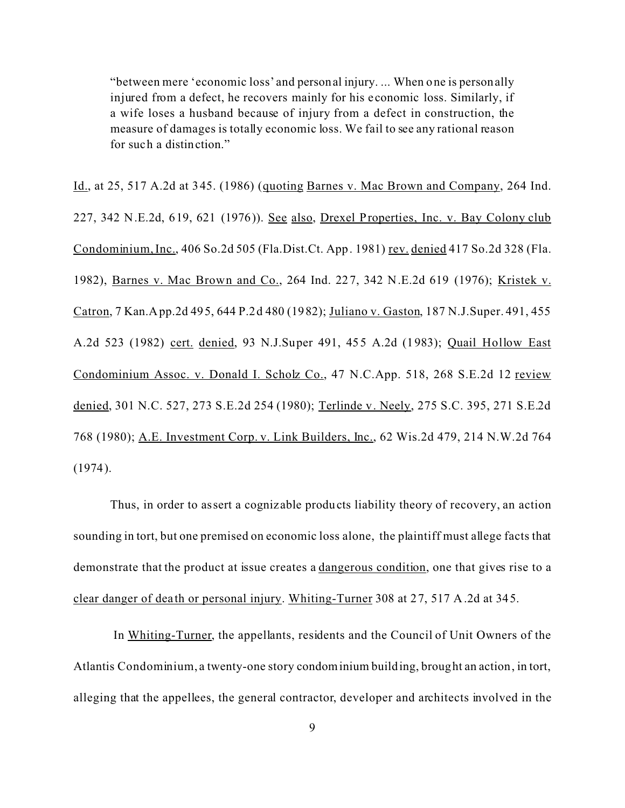"between mere 'economic loss' and personal injury. ... When one is personally injured from a defect, he recovers mainly for his e conomic loss. Similarly, if a wife loses a husband because of injury from a defect in construction, the measure of damages is totally economic loss. We fail to see any rational reason for such a distinction."

Id., at 25, 517 A.2d at 345. (1986) (quoting Barnes v. Mac Brown and Company, 264 Ind. 227, 342 N.E.2d, 619, 621 (1976)). See also, Drexel Properties, Inc. v. Bay Colony club Condominium, Inc., 406 So.2d 505 (Fla.Dist.Ct. App. 1981) rev. denied 417 So.2d 328 (Fla. 1982), Barnes v. Mac Brown and Co., 264 Ind. 227, 342 N.E.2d 619 (1976); Kristek v. Catron, 7 Kan.App.2d 495, 644 P.2d 480 (1982); Juliano v. Gaston, 187 N.J.Super. 491, 455 A.2d 523 (1982) cert. denied, 93 N.J.Super 491, 455 A.2d (1983); Quail Hollow East Condominium Assoc. v. Donald I. Scholz Co., 47 N.C.App. 518, 268 S.E.2d 12 review denied, 301 N.C. 527, 273 S.E.2d 254 (1980); Terlinde v. Neely, 275 S.C. 395, 271 S.E.2d 768 (1980); A.E. Investment Corp. v. Link Builders, Inc., 62 Wis.2d 479, 214 N.W.2d 764 (1974).

Thus, in order to assert a cogniz able products liability theory of recovery, an action sounding in tort, but one premised on economic loss alone, the plaintiff must allege facts that demonstrate that the product at issue creates a dangerous condition, one that gives rise to a clear danger of dea th or personal injury. Whiting-Turner 308 at 27, 517 A.2d at 345.

 In Whiting-Turner, the appellants, residents and the Council of Unit Owners of the Atlantis Condominium, a twenty-one story condominium building, brought an action, in tort, alleging that the appellees, the general contractor, developer and architects involved in the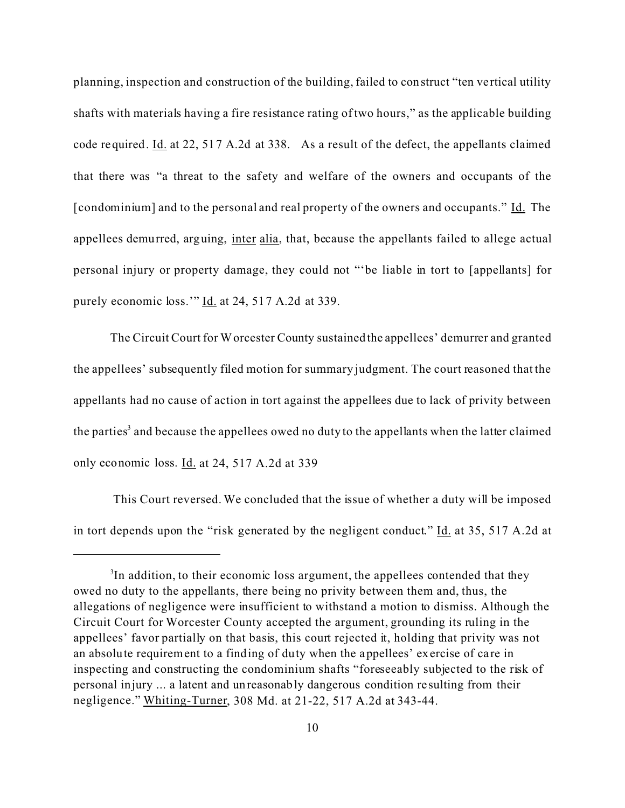planning, inspection and construction of the building, failed to construct "ten ve rtical utility shafts with materials having a fire resistance rating of two hours," as the applicable building code required. Id. at 22, 517 A.2d at 338. As a result of the defect, the appellants claimed that there was "a threat to the safety and welfare of the owners and occupants of the [condominium] and to the personal and real property of the owners and occupants." Id. The appellees demurred, arguing, inter alia, that, because the appellants failed to allege actual personal injury or property damage, they could not "'be liable in tort to [appellants] for purely economic loss." Id. at 24, 517 A.2d at 339.

The Circuit Court for Worcester County sustained the appellees' demurrer and granted the appellees' subsequently filed motion for summary judgment. The court reasoned that the appellants had no cause of action in tort against the appellees due to lack of privity between the parties<sup>3</sup> and because the appellees owed no duty to the appellants when the latter claimed only economic loss. Id. at 24, 517 A.2d at 339

 This Court reversed. We concluded that the issue of whether a duty will be imposed in tort depends upon the "risk generated by the negligent conduct." Id. at 35, 517 A.2d at

<sup>&</sup>lt;sup>3</sup>In addition, to their economic loss argument, the appellees contended that they owed no duty to the appellants, there being no privity between them and, thus, the allegations of negligence were insufficient to withstand a motion to dismiss. Although the Circuit Court for Worcester County accepted the argument, grounding its ruling in the appellees' favor partially on that basis, this court rejected it, holding that privity was not an absolute requirement to a finding of duty when the appellees' exercise of care in inspecting and constructing the condominium shafts "foreseeably subjected to the risk of personal injury ... a latent and unreasonably dangerous condition re sulting from their negligence." Whiting-Turner, 308 Md. at 21-22, 517 A.2d at 343-44.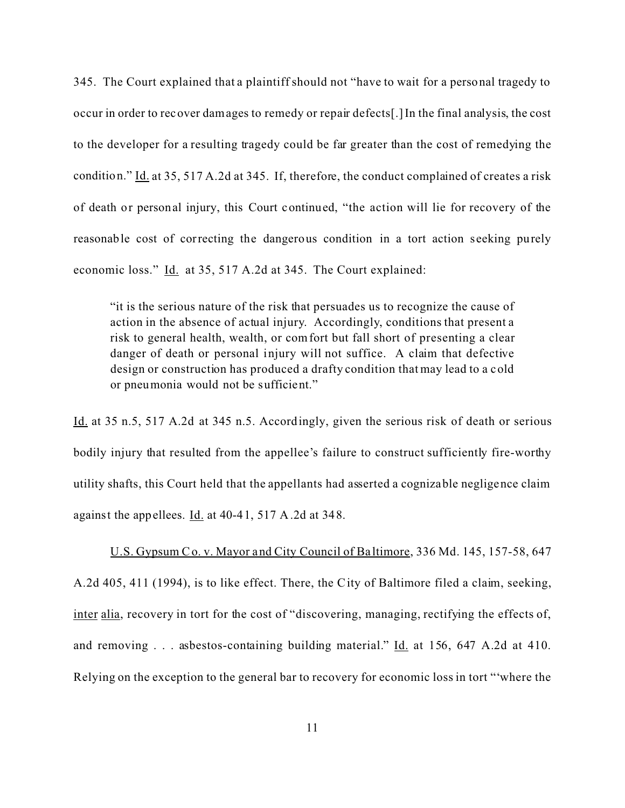345. The Court explained that a plaintiff should not "have to wait for a personal tragedy to occur in order to recover damages to remedy or repair defects[.] In the final analysis, the cost to the developer for a resulting tragedy could be far greater than the cost of remedying the condition." Id. at 35, 517 A.2d at 345. If, therefore, the conduct complained of creates a risk of death or personal injury, this Court continued, "the action will lie for recovery of the reasonable cost of correcting the dangerous condition in a tort action seeking purely economic loss." Id. at 35, 517 A.2d at 345. The Court explained:

"it is the serious nature of the risk that persuades us to recognize the cause of action in the absence of actual injury. Accordingly, conditions that present a risk to general health, wealth, or comfort but fall short of presenting a clear danger of death or personal injury will not suffice. A claim that defective design or construction has produced a drafty condition that may lead to a cold or pneumonia would not be sufficient."

Id. at 35 n.5, 517 A.2d at 345 n.5. Accordingly, given the serious risk of death or serious bodily injury that resulted from the appellee's failure to construct sufficiently fire-worthy utility shafts, this Court held that the appellants had asserted a cognizable negligence claim against the appellees. Id. at 40-41, 517 A.2d at 348.

U.S. Gypsum Co. v. Mayor and City Council of Ba ltimore, 336 Md. 145, 157-58, 647 A.2d 405, 411 (1994), is to like effect. There, the City of Baltimore filed a claim, seeking, inter alia, recovery in tort for the cost of "discovering, managing, rectifying the effects of, and removing . . . asbestos-containing building material." Id. at 156, 647 A.2d at 410. Relying on the exception to the general bar to recovery for economic loss in tort "'where the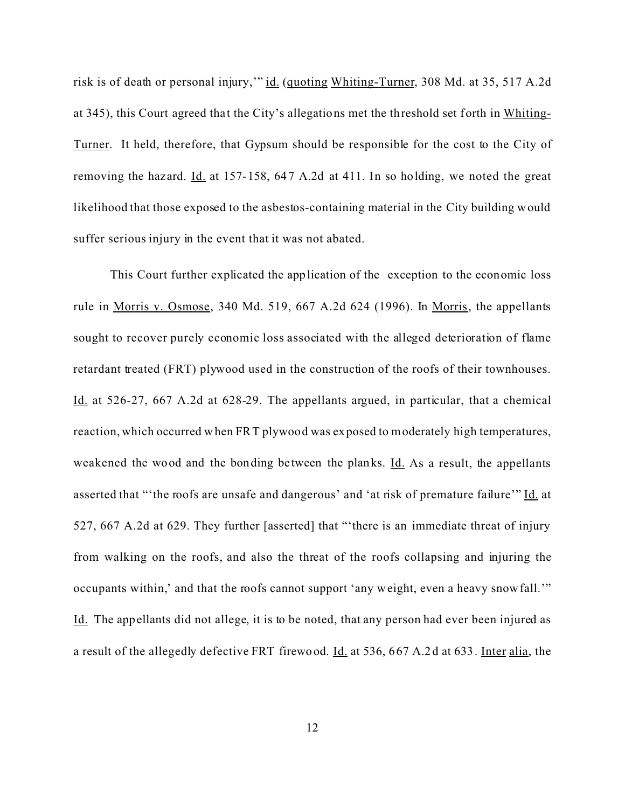risk is of death or personal injury," id. (quoting Whiting-Turner, 308 Md. at 35, 517 A.2d at 345), this Court agreed that the City's allegations met the threshold set forth in Whiting-Turner. It held, therefore, that Gypsum should be responsible for the cost to the City of removing the hazard. Id. at 157-158, 647 A.2d at 411. In so holding, we noted the great likelihood that those exposed to the asbestos-containing material in the City building would suffer serious injury in the event that it was not abated.

This Court further explicated the application of the exception to the economic loss rule in Morris v. Osmose, 340 Md. 519, 667 A.2d 624 (1996). In Morris, the appellants sought to recover purely economic loss associated with the alleged deterioration of flame retardant treated (FRT) plywood used in the construction of the roofs of their townhouses. Id. at 526-27, 667 A.2d at 628-29. The appellants argued, in particular, that a chemical reaction, which occurred when FRT plywood was exposed to moderately high temperatures, weakened the wood and the bonding be tween the planks. Id. As a result, the appellants asserted that "'the roofs are unsafe and dangerous' and 'at risk of premature failure'" Id. at 527, 667 A.2d at 629. They further [asserted] that "'there is an immediate threat of injury from walking on the roofs, and also the threat of the roofs collapsing and injuring the occupants within,' and that the roofs cannot support 'any weight, even a heavy snowfall.'" Id. The appellants did not allege, it is to be noted, that any person had ever been injured as a result of the allegedly defective FRT firewood. Id. at 536, 667 A.2d at 633. Inter alia, the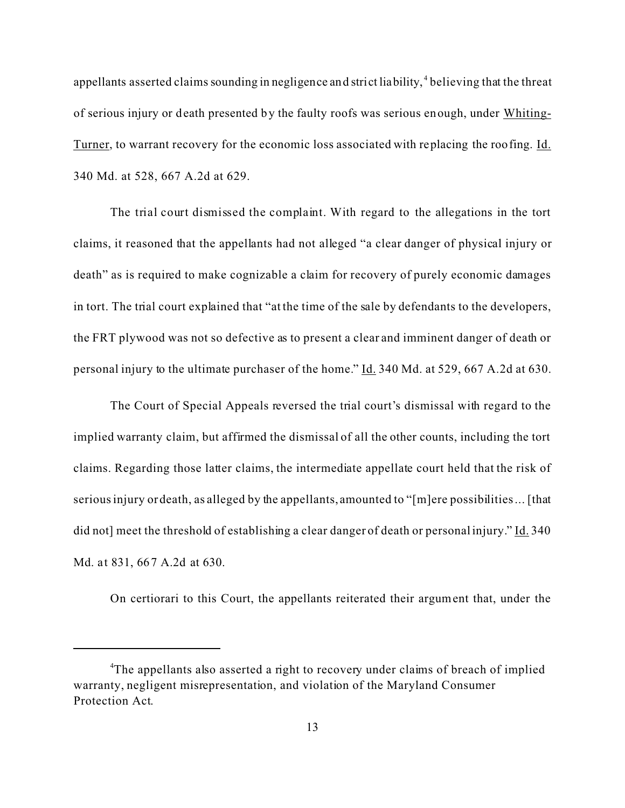appellants asserted claims sounding in negligence and strict liability,<sup>4</sup> believing that the threat of serious injury or death presented by the faulty roofs was serious enough, under Whiting-Turner, to warrant recovery for the economic loss associated with replacing the roofing. Id. 340 Md. at 528, 667 A.2d at 629.

The trial court dismissed the complaint. With regard to the allegations in the tort claims, it reasoned that the appellants had not alleged "a clear danger of physical injury or death" as is required to make cognizable a claim for recovery of purely economic damages in tort. The trial court explained that "at the time of the sale by defendants to the developers, the FRT plywood was not so defective as to present a clear and imminent danger of death or personal injury to the ultimate purchaser of the home." Id. 340 Md. at 529, 667 A.2d at 630.

The Court of Special Appeals reversed the trial court's dismissal with regard to the implied warranty claim, but affirmed the dismissal of all the other counts, including the tort claims. Regarding those latter claims, the intermediate appellate court held that the risk of serious injury or death, as alleged by the appellants, amounted to "[m]ere possibilities ... [that did not] meet the threshold of establishing a clear danger of death or personal injury." Id. 340 Md. at 831, 667 A.2d at 630.

On certiorari to this Court, the appellants reiterated their argument that, under the

<sup>&</sup>lt;sup>4</sup>The appellants also asserted a right to recovery under claims of breach of implied warranty, negligent misrepresentation, and violation of the Maryland Consumer Protection Act.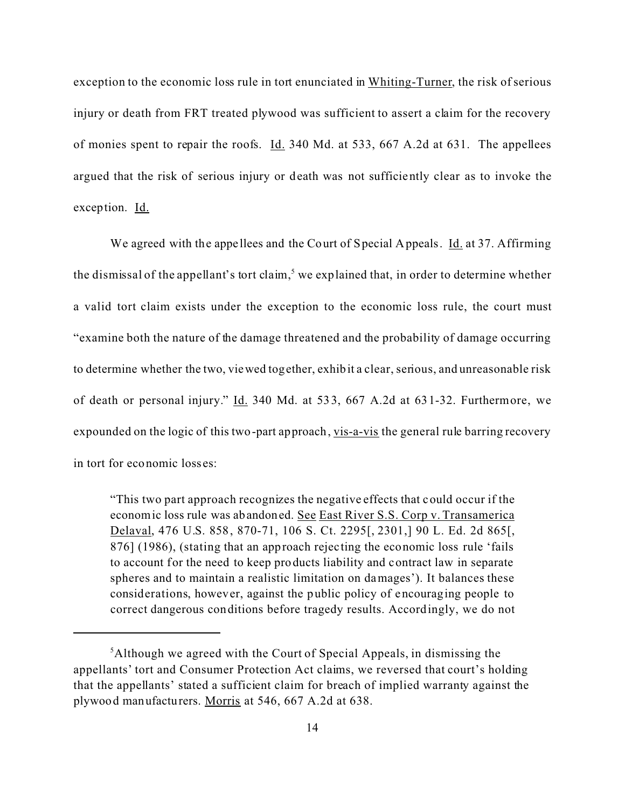exception to the economic loss rule in tort enunciated in Whiting-Turner, the risk of serious injury or death from FRT treated plywood was sufficient to assert a claim for the recovery of monies spent to repair the roofs. Id. 340 Md. at 533, 667 A.2d at 631. The appellees argued that the risk of serious injury or death was not sufficiently clear as to invoke the exception. Id.

We agreed with the appellees and the Court of Special Appeals. *Id.* at 37. Affirming the dismissal of the appellant's tort claim,<sup>5</sup> we explained that, in order to determine whether a valid tort claim exists under the exception to the economic loss rule, the court must "examine both the nature of the damage threatened and the probability of damage occurring to determine whether the two, viewed together, exhibit a clear, serious, and unreasonable risk of death or personal injury." Id. 340 Md. at 533, 667 A.2d at 631-32. Furthermore, we expounded on the logic of this two-part approach, vis-a-vis the general rule barring recovery in tort for economic losses:

"This two part approach recognizes the negative effects that could occur if the economic loss rule was abandoned. See East River S.S. Corp v. Transamerica Delaval, 476 U.S. 858, 870-71, 106 S. Ct. 2295[, 2301,] 90 L. Ed. 2d 865[, 876] (1986), (stating that an approach rejecting the economic loss rule 'fails to account for the need to keep products liability and contract law in separate spheres and to maintain a realistic limitation on damages'). It balances these considerations, however, against the public policy of encouraging people to correct dangerous conditions before tragedy results. Accordingly, we do not

 $<sup>5</sup>$ Although we agreed with the Court of Special Appeals, in dismissing the</sup> appellants' tort and Consumer Protection Act claims, we reversed that court's holding that the appellants' stated a sufficient claim for breach of implied warranty against the plywood manufacturers. Morris at 546, 667 A.2d at 638.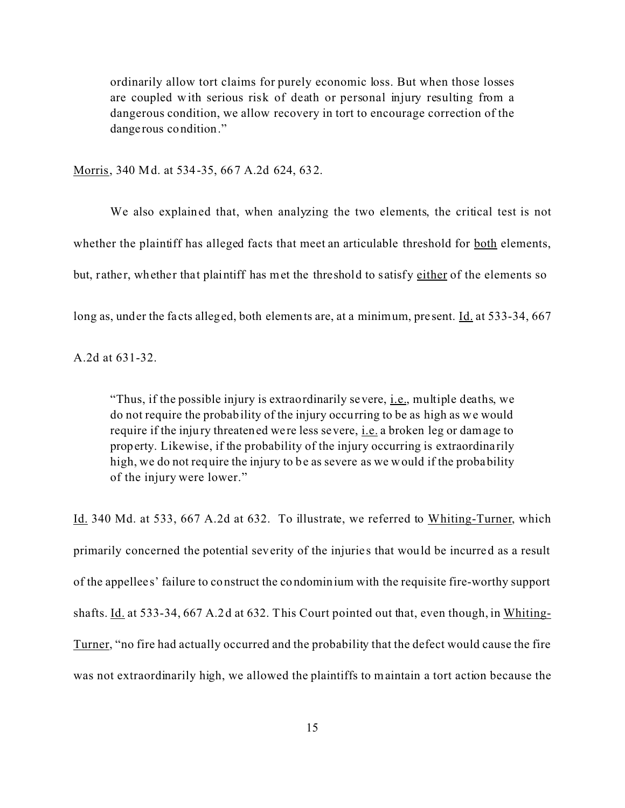ordinarily allow tort claims for purely economic loss. But when those losses are coupled with serious risk of death or personal injury resulting from a dangerous condition, we allow recovery in tort to encourage correction of the dange rous condition."

Morris, 340 Md. at 534-35, 667 A.2d 624, 632.

We also explained that, when analyzing the two elements, the critical test is not whether the plaintiff has alleged facts that meet an articulable threshold for <u>both</u> elements, but, rather, whether that plaintiff has met the threshold to satisfy either of the elements so

long as, under the facts alleged, both elements are, at a minimum, present. Id. at 533-34, 667

A.2d at 631-32.

"Thus, if the possible injury is extraordinarily severe, i.e., multiple deaths, we do not require the probability of the injury occurring to be as high as we would require if the injury threatened were less severe, i.e. a broken leg or damage to property. Likewise, if the probability of the injury occurring is extraordina rily high, we do not require the injury to be as severe as we would if the probability of the injury were lower."

Id. 340 Md. at 533, 667 A.2d at 632. To illustrate, we referred to Whiting-Turner, which primarily concerned the potential severity of the injuries that would be incurred as a result of the appellee s' failure to construct the condominium with the requisite fire-worthy support shafts. Id. at 533-34, 667 A.2d at 632. This Court pointed out that, even though, in Whiting-Turner, "no fire had actually occurred and the probability that the defect would cause the fire was not extraordinarily high, we allowed the plaintiffs to maintain a tort action because the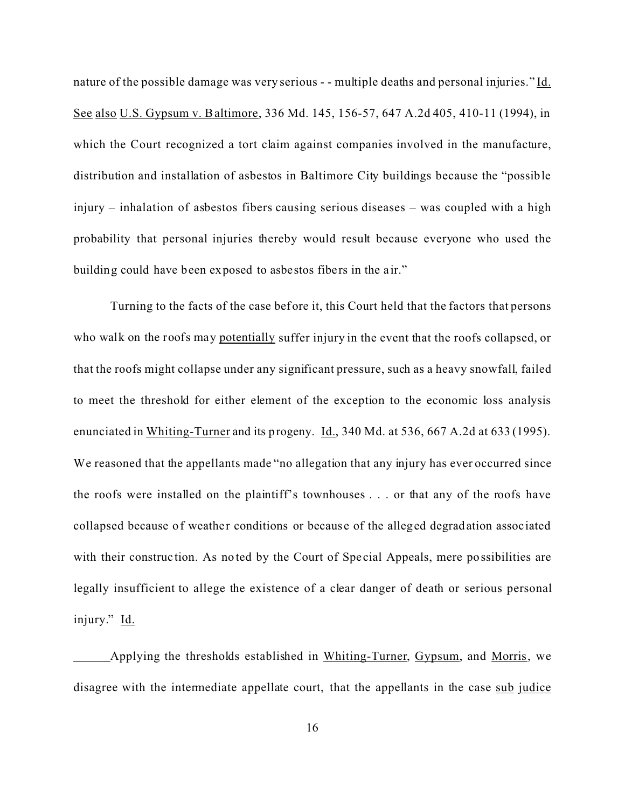nature of the possible damage was very serious - - multiple deaths and personal injuries." Id. See also U.S. Gypsum v. Baltimore, 336 Md. 145, 156-57, 647 A.2d 405, 410-11 (1994), in which the Court recognized a tort claim against companies involved in the manufacture, distribution and installation of asbestos in Baltimore City buildings because the "possible injury – inhalation of asbestos fibers causing serious diseases – was coupled with a high probability that personal injuries thereby would result because everyone who used the building could have been exposed to asbestos fibers in the air."

Turning to the facts of the case before it, this Court held that the factors that persons who walk on the roofs may potentially suffer injury in the event that the roofs collapsed, or that the roofs might collapse under any significant pressure, such as a heavy snowfall, failed to meet the threshold for either element of the exception to the economic loss analysis enunciated in Whiting-Turner and its progeny. Id., 340 Md. at 536, 667 A.2d at 633 (1995). We reasoned that the appellants made "no allegation that any injury has ever occurred since the roofs were installed on the plaintiff's townhouses . . . or that any of the roofs have collapsed because of weather conditions or because of the alleged degradation associated with their construction. As noted by the Court of Special Appeals, mere possibilities are legally insufficient to allege the existence of a clear danger of death or serious personal injury." Id.

Applying the thresholds established in Whiting-Turner, Gypsum, and Morris, we disagree with the intermediate appellate court, that the appellants in the case sub judice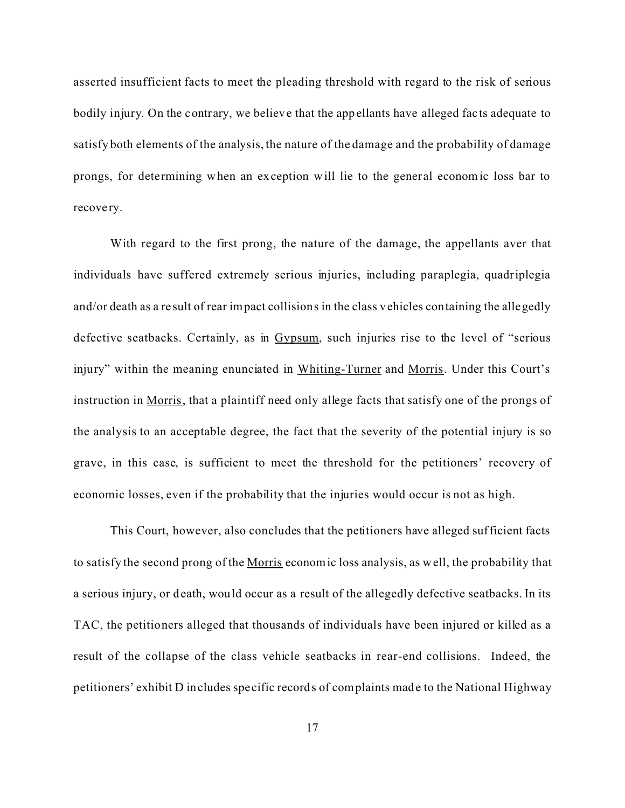asserted insufficient facts to meet the pleading threshold with regard to the risk of serious bodily injury. On the contrary, we believe that the appellants have alleged facts adequate to satisfy both elements of the analysis, the nature of the damage and the probability of damage prongs, for determining when an exception will lie to the general economic loss bar to recove ry.

With regard to the first prong, the nature of the damage, the appellants aver that individuals have suffered extremely serious injuries, including paraplegia, quadriplegia and/or death as a re sult of rear impact collisions in the class vehicles containing the allegedly defective seatbacks. Certainly, as in Gypsum, such injuries rise to the level of "serious injury" within the meaning enunciated in Whiting-Turner and Morris. Under this Court's instruction in Morris, that a plaintiff need only allege facts that satisfy one of the prongs of the analysis to an acceptable degree, the fact that the severity of the potential injury is so grave, in this case, is sufficient to meet the threshold for the petitioners' recovery of economic losses, even if the probability that the injuries would occur is not as high.

This Court, however, also concludes that the petitioners have alleged sufficient facts to satisfy the second prong of the Morris economic loss analysis, as well, the probability that a serious injury, or death, would occur as a result of the allegedly defective seatbacks. In its TAC, the petitioners alleged that thousands of individuals have been injured or killed as a result of the collapse of the class vehicle seatbacks in rear-end collisions. Indeed, the petitioners' exhibit D includes spe cific records of complaints made to the National Highway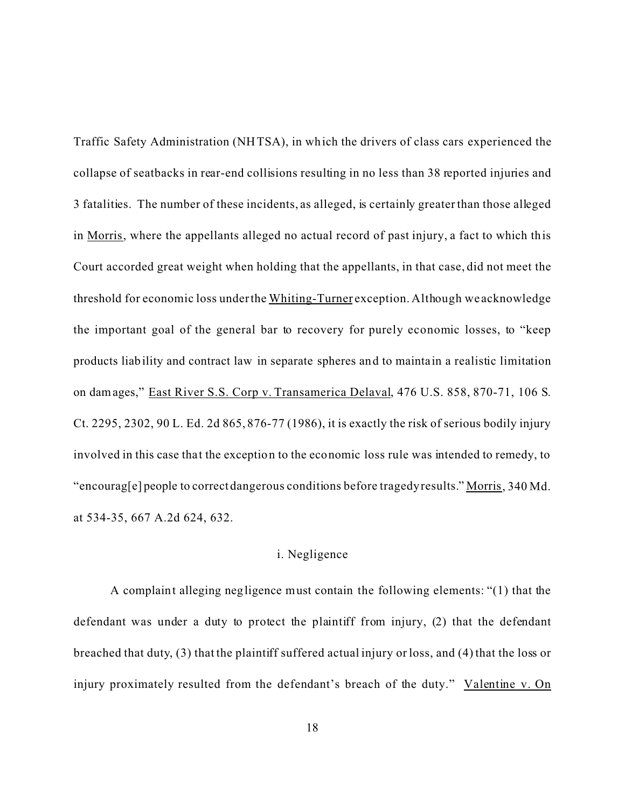Traffic Safety Administration (NHTSA), in which the drivers of class cars experienced the collapse of seatbacks in rear-end collisions resulting in no less than 38 reported injuries and 3 fatalities. The number of these incidents, as alleged, is certainly greater than those alleged in Morris, where the appellants alleged no actual record of past injury, a fact to which this Court accorded great weight when holding that the appellants, in that case, did not meet the threshold for economic loss under the Whiting-Turner exception. Although we acknowledge the important goal of the general bar to recovery for purely economic losses, to "keep products liability and contract law in separate spheres and to maintain a realistic limitation on damages," East River S.S. Corp v. Transamerica Delaval, 476 U.S. 858, 870-71, 106 S. Ct. 2295, 2302, 90 L. Ed. 2d 865, 876-77 (1986), it is exactly the risk of serious bodily injury involved in this case that the exception to the economic loss rule was intended to remedy, to "encourag[e] people to correct dangerous conditions before tragedy results." Morris, 340 Md. at 534-35, 667 A.2d 624, 632.

#### i. Negligence

A complaint alleging negligence must contain the following elements: "(1) that the defendant was under a duty to protect the plaintiff from injury, (2) that the defendant breached that duty, (3) that the plaintiff suffered actual injury or loss, and (4) that the loss or injury proximately resulted from the defendant's breach of the duty." Valentine v. On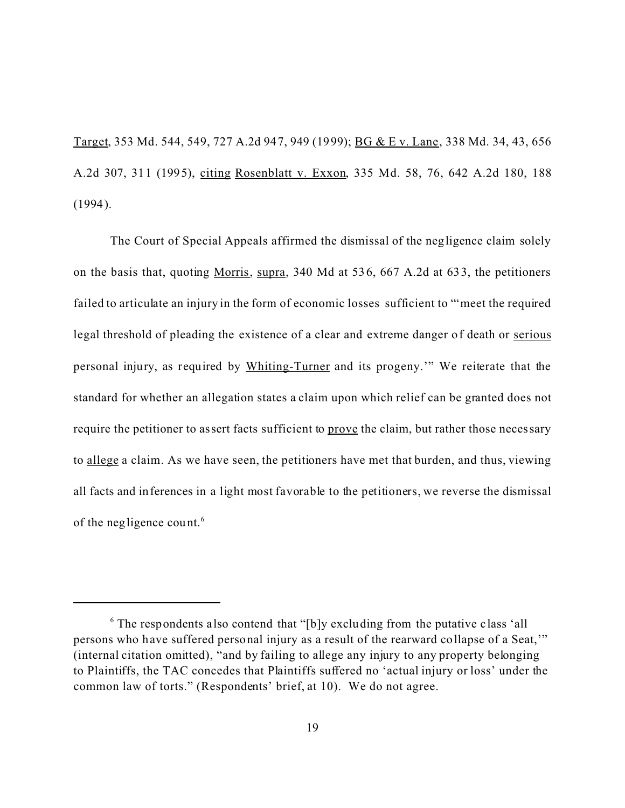Target, 353 Md. 544, 549, 727 A.2d 947, 949 (1999); BG & E v. Lane, 338 Md. 34, 43, 656 A.2d 307, 311 (1995), citing Rosenblatt v. Exxon, 335 Md. 58, 76, 642 A.2d 180, 188 (1994).

The Court of Special Appeals affirmed the dismissal of the negligence claim solely on the basis that, quoting Morris, supra, 340 Md at 536, 667 A.2d at 633, the petitioners failed to articulate an injury in the form of economic losses sufficient to "'meet the required legal threshold of pleading the existence of a clear and extreme danger of death or serious personal injury, as required by Whiting-Turner and its progeny.'" We reiterate that the standard for whether an allegation states a claim upon which relief can be granted does not require the petitioner to assert facts sufficient to prove the claim, but rather those necessary to allege a claim. As we have seen, the petitioners have met that burden, and thus, viewing all facts and inferences in a light most favorable to the petitioners, we reverse the dismissal of the negligence count.<sup>6</sup>

<sup>&</sup>lt;sup>6</sup> The respondents also contend that "[b]y excluding from the putative class 'all persons who have suffered personal injury as a result of the rearward collapse of a Seat,'" (internal citation omitted), "and by failing to allege any injury to any property belonging to Plaintiffs, the TAC concedes that Plaintiffs suffered no 'actual injury or loss' under the common law of torts." (Respondents' brief, at 10). We do not agree.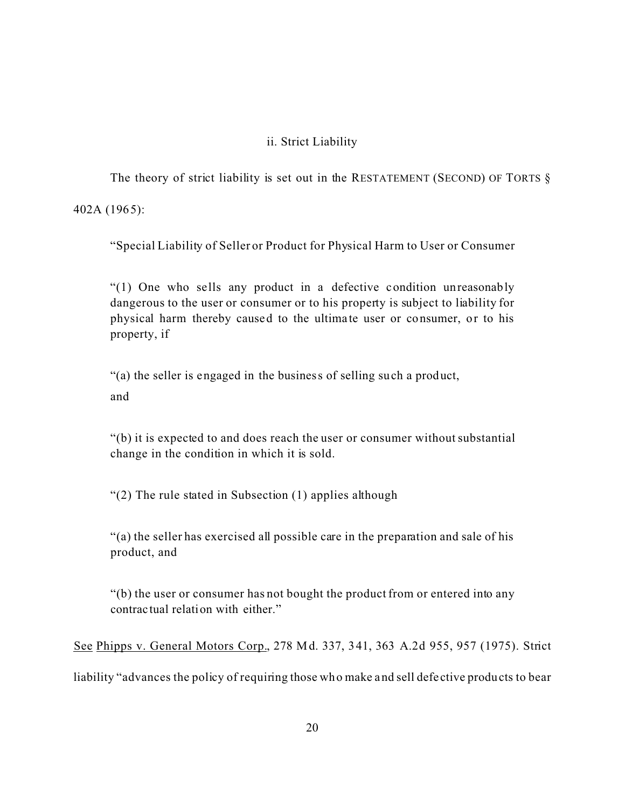## ii. Strict Liability

The theory of strict liability is set out in the RESTATEMENT (SECOND) OF TORTS  $\S$ 

402A (1965):

"Special Liability of Seller or Product for Physical Harm to User or Consumer

"(1) One who sells any product in a defective condition unreasonably dangerous to the user or consumer or to his property is subject to liability for physical harm thereby caused to the ultima te user or consumer, or to his property, if

"(a) the seller is engaged in the business of selling such a product, and

"(b) it is expected to and does reach the user or consumer without substantial change in the condition in which it is sold.

"(2) The rule stated in Subsection (1) applies although

"(a) the seller has exercised all possible care in the preparation and sale of his product, and

"(b) the user or consumer has not bought the product from or entered into any contrac tual relation with either."

See Phipps v. General Motors Corp., 278 Md. 337, 341, 363 A.2d 955, 957 (1975). Strict

liability "advances the policy of requiring those who make and sell defe ctive products to bear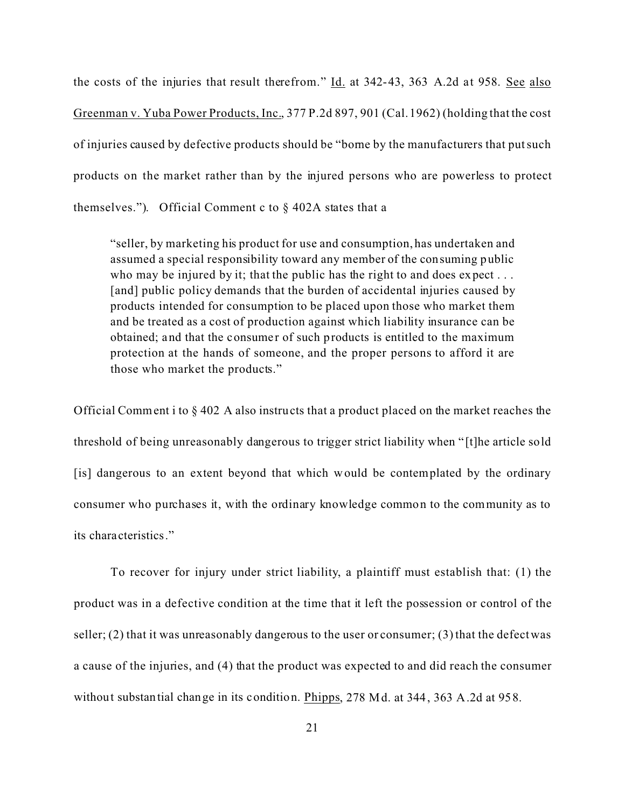the costs of the injuries that result therefrom."  $\underline{Id}$ , at 342-43, 363 A.2d at 958. See also Greenman v. Yuba Power Products, Inc., 377 P.2d 897, 901 (Cal. 1962) (holding that the cost of injuries caused by defective products should be "borne by the manufacturers that put such products on the market rather than by the injured persons who are powerless to protect themselves."). Official Comment c to  $\S$  402A states that a

"seller, by marketing his product for use and consumption, has undertaken and assumed a special responsibility toward any member of the consuming public who may be injured by it; that the public has the right to and does expect ... [and] public policy demands that the burden of accidental injuries caused by products intended for consumption to be placed upon those who market them and be treated as a cost of production against which liability insurance can be obtained; and that the consumer of such products is entitled to the maximum protection at the hands of someone, and the proper persons to afford it are those who market the products."

Official Comment i to § 402 A also instructs that a product placed on the market reaches the threshold of being unreasonably dangerous to trigger strict liability when " [t]he article sold [is] dangerous to an extent beyond that which would be contemplated by the ordinary consumer who purchases it, with the ordinary knowledge common to the community as to its characteristics."

To recover for injury under strict liability, a plaintiff must establish that: (1) the product was in a defective condition at the time that it left the possession or control of the seller;  $(2)$  that it was unreasonably dangerous to the user or consumer;  $(3)$  that the defect was a cause of the injuries, and (4) that the product was expected to and did reach the consumer without substantial change in its condition. Phipps, 278 Md. at 344, 363 A.2d at 958.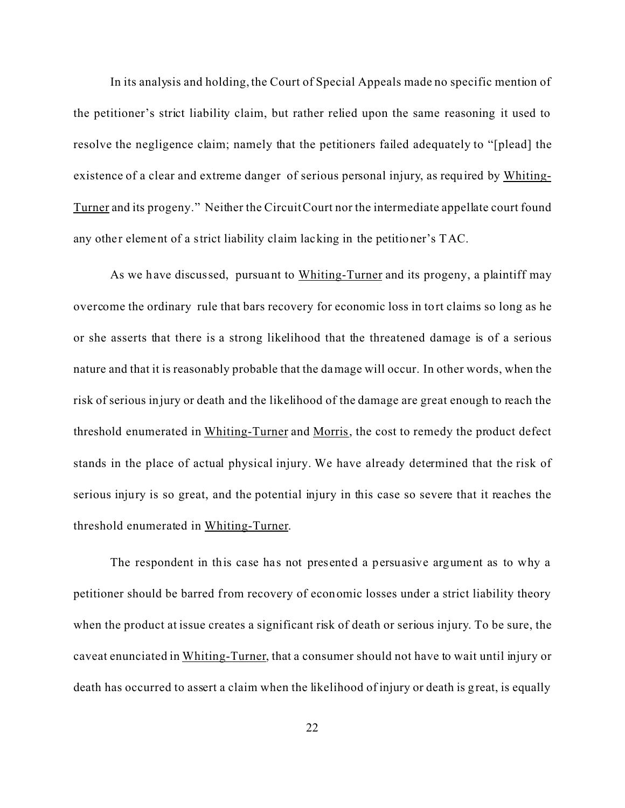In its analysis and holding, the Court of Special Appeals made no specific mention of the petitioner's strict liability claim, but rather relied upon the same reasoning it used to resolve the negligence claim; namely that the petitioners failed adequately to "[plead] the existence of a clear and extreme danger of serious personal injury, as required by Whiting-Turner and its progeny." Neither the Circuit Court nor the intermediate appellate court found any other element of a strict liability claim lacking in the petitioner's TAC.

As we have discussed, pursuant to Whiting-Turner and its progeny, a plaintiff may overcome the ordinary rule that bars recovery for economic loss in tort claims so long as he or she asserts that there is a strong likelihood that the threatened damage is of a serious nature and that it is reasonably probable that the damage will occur. In other words, when the risk of serious injury or death and the likelihood of the damage are great enough to reach the threshold enumerated in Whiting-Turner and Morris, the cost to remedy the product defect stands in the place of actual physical injury. We have already determined that the risk of serious injury is so great, and the potential injury in this case so severe that it reaches the threshold enumerated in Whiting-Turner.

The respondent in this case has not presented a persuasive argument as to why a petitioner should be barred from recovery of economic losses under a strict liability theory when the product at issue creates a significant risk of death or serious injury. To be sure, the caveat enunciated in Whiting-Turner, that a consumer should not have to wait until injury or death has occurred to assert a claim when the likelihood of injury or death is great, is equally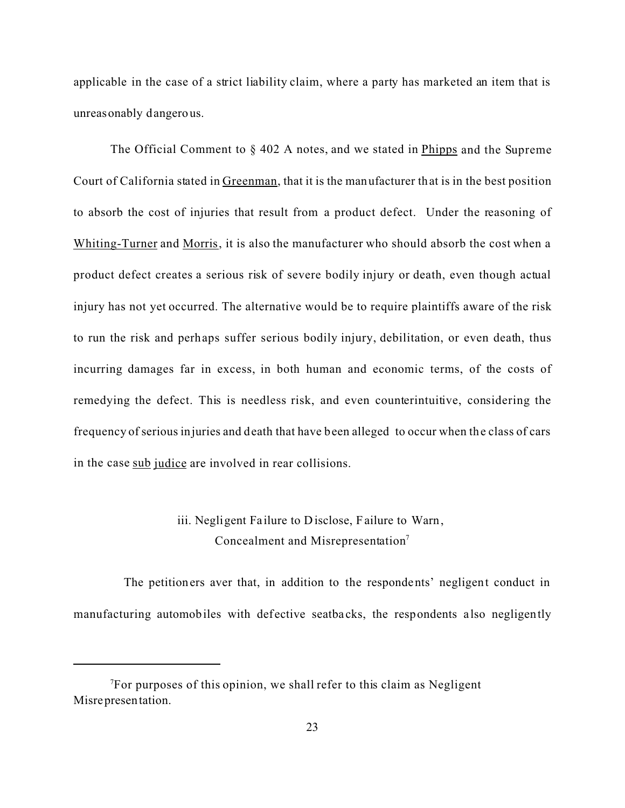applicable in the case of a strict liability claim, where a party has marketed an item that is unreasonably dangerous.

The Official Comment to § 402 A notes, and we stated in Phipps and the Supreme Court of California stated in Greenman, that it is the manufacturer that is in the best position to absorb the cost of injuries that result from a product defect. Under the reasoning of Whiting-Turner and Morris, it is also the manufacturer who should absorb the cost when a product defect creates a serious risk of severe bodily injury or death, even though actual injury has not yet occurred. The alternative would be to require plaintiffs aware of the risk to run the risk and perhaps suffer serious bodily injury, debilitation, or even death, thus incurring damages far in excess, in both human and economic terms, of the costs of remedying the defect. This is needless risk, and even counterintuitive, considering the frequency of serious injuries and death that have been alleged to occur when the class of cars in the case sub judice are involved in rear collisions.

# iii. Negligent Failure to Disclose, Failure to Warn, Concealment and Misrepresentation<sup>7</sup>

 The petitioners aver that, in addition to the respondents' negligent conduct in manufacturing automobiles with defective seatbacks, the respondents also negligently

 $T$ For purposes of this opinion, we shall refer to this claim as Negligent Misrepresentation.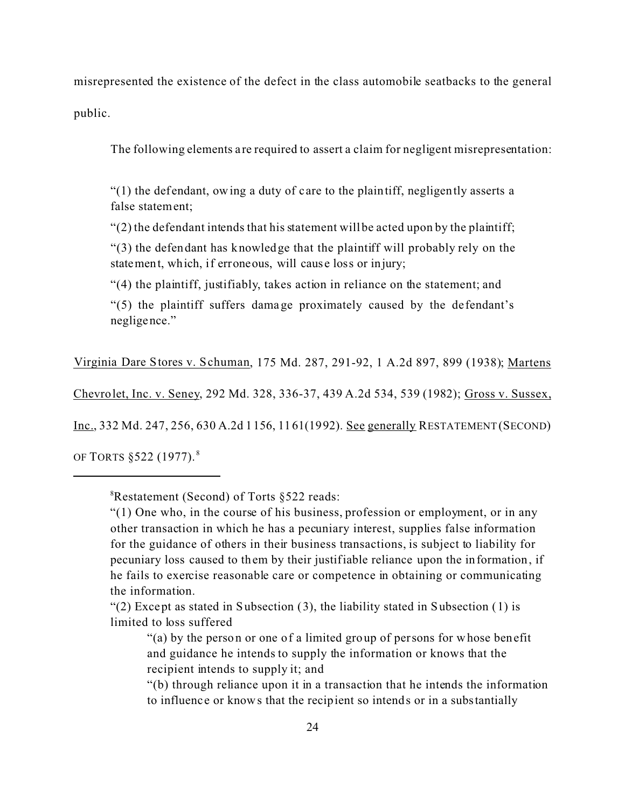misrepresented the existence of the defect in the class automobile seatbacks to the general

public.

The following elements are required to assert a claim for negligent misrepresentation:

 $"(1)$  the defendant, owing a duty of care to the plaintiff, negligently asserts a false statement;

 $\degree$ (2) the defendant intends that his statement will be acted upon by the plaintiff;

"(3) the defendant has knowledge that the plaintiff will probably rely on the statement, which, if erroneous, will cause loss or injury;

"(4) the plaintiff, justifiably, takes action in reliance on the statement; and

"(5) the plaintiff suffers damage proximately caused by the de fendant's negligence."

Virginia Dare Stores v. Schuman, 175 Md. 287, 291-92, 1 A.2d 897, 899 (1938); Martens

Chevrolet, Inc. v. Seney, 292 Md. 328, 336-37, 439 A.2d 534, 539 (1982); Gross v. Sussex,

Inc., 332 Md. 247, 256, 630 A.2d 1156, 1161(1992). See generally RESTATEMENT (SECOND)

OF TORTS §522 (1977). <sup>8</sup>

"(2) Except as stated in Subsection  $(3)$ , the liability stated in Subsection  $(1)$  is limited to loss suffered

<sup>8</sup>Restatement (Second) of Torts §522 reads:

 $"(1)$  One who, in the course of his business, profession or employment, or in any other transaction in which he has a pecuniary interest, supplies false information for the guidance of others in their business transactions, is subject to liability for pecuniary loss caused to them by their justifiable reliance upon the information, if he fails to exercise reasonable care or competence in obtaining or communicating the information.

<sup>&</sup>quot;(a) by the person or one of a limited group of persons for whose benefit and guidance he intends to supply the information or knows that the recipient intends to supply it; and

<sup>&</sup>quot;(b) through reliance upon it in a transaction that he intends the information to influence or knows that the recipient so intends or in a substantially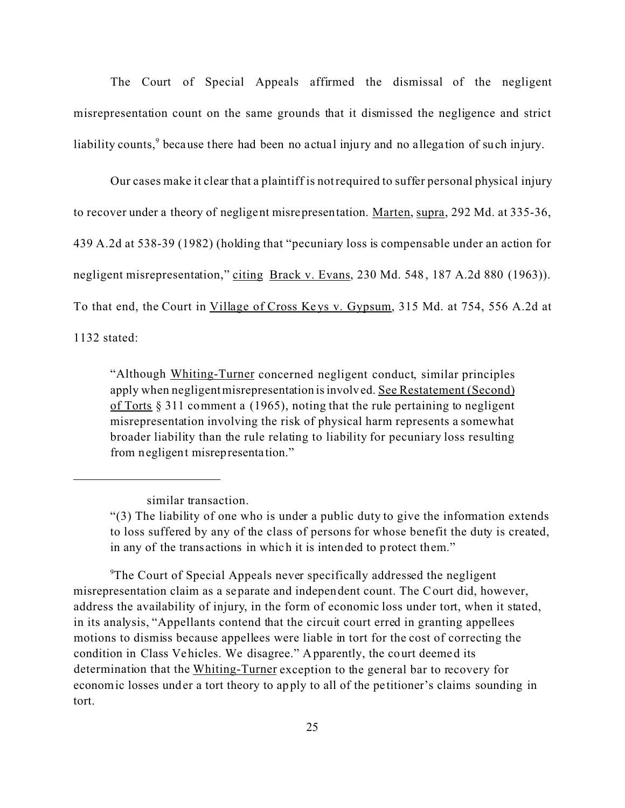The Court of Special Appeals affirmed the dismissal of the negligent misrepresentation count on the same grounds that it dismissed the negligence and strict liability counts,<sup>9</sup> because there had been no actual injury and no allegation of such injury.

Our cases make it clear that a plaintiff is not required to suffer personal physical injury to recover under a theory of negligent misrepresentation. Marten, supra, 292 Md. at 335-36, 439 A.2d at 538-39 (1982) (holding that "pecuniary loss is compensable under an action for negligent misrepresentation," citing Brack v. Evans, 230 Md. 548, 187 A.2d 880 (1963)). To that end, the Court in Village of Cross Ke ys v. Gypsum, 315 Md. at 754, 556 A.2d at 1132 stated:

"Although Whiting-Turner concerned negligent conduct, similar principles apply when negligentmisrepresentation is involved. See Restatement (Second) of Torts § 311 comment a (1965), noting that the rule pertaining to negligent misrepresentation involving the risk of physical harm represents a somewhat broader liability than the rule relating to liability for pecuniary loss resulting from negligent misrepresentation."

<sup>9</sup>The Court of Special Appeals never specifically addressed the negligent misrepresentation claim as a separate and independent count. The Court did, however, address the availability of injury, in the form of economic loss under tort, when it stated, in its analysis, "Appellants contend that the circuit court erred in granting appellees motions to dismiss because appellees were liable in tort for the cost of correcting the condition in Class Vehicles. We disagree." Apparently, the court deemed its determination that the Whiting-Turner exception to the general bar to recovery for economic losses under a tort theory to apply to all of the pe titioner's claims sounding in tort.

similar transaction.

<sup>&</sup>quot;(3) The liability of one who is under a public duty to give the information extends to loss suffered by any of the class of persons for whose benefit the duty is created, in any of the trans actions in which it is intended to protect them."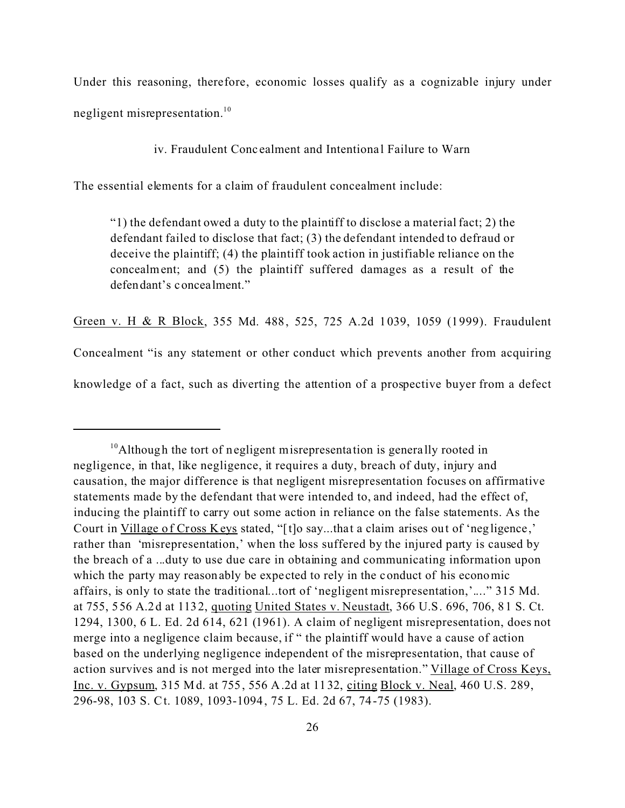Under this reasoning, therefore, economic losses qualify as a cognizable injury under negligent misrepresentation.<sup>10</sup>

iv. Fraudulent Concealment and Intentional Failure to Warn

The essential elements for a claim of fraudulent concealment include:

"1) the defendant owed a duty to the plaintiff to disclose a material fact; 2) the defendant failed to disclose that fact; (3) the defendant intended to defraud or deceive the plaintiff; (4) the plaintiff took action in justifiable reliance on the concealment; and (5) the plaintiff suffered damages as a result of the defendant's concealment."

Green v. H & R Block, 355 Md. 488, 525, 725 A.2d 1039, 1059 (1999). Fraudulent Concealment "is any statement or other conduct which prevents another from acquiring knowledge of a fact, such as diverting the attention of a prospective buyer from a defect

 $10$ Although the tort of negligent misrepresentation is generally rooted in negligence, in that, like negligence, it requires a duty, breach of duty, injury and causation, the major difference is that negligent misrepresentation focuses on affirmative statements made by the defendant that were intended to, and indeed, had the effect of, inducing the plaintiff to carry out some action in reliance on the false statements. As the Court in Village of Cross Keys stated, "[t]o say...that a claim arises out of 'negligence ,' rather than 'misrepresentation,' when the loss suffered by the injured party is caused by the breach of a ...duty to use due care in obtaining and communicating information upon which the party may reasonably be expected to rely in the conduct of his economic affairs, is only to state the traditional...tort of 'negligent misrepresentation,'...." 315 Md. at 755, 556 A.2d at 1132, quoting United States v. Neustadt, 366 U.S. 696, 706, 81 S. Ct. 1294, 1300, 6 L. Ed. 2d 614, 621 (1961). A claim of negligent misrepresentation, does not merge into a negligence claim because, if " the plaintiff would have a cause of action based on the underlying negligence independent of the misrepresentation, that cause of action survives and is not merged into the later misrepresentation." Village of Cross Keys, Inc. v. Gypsum, 315 Md. at 755, 556 A.2d at 1132, citing Block v. Neal, 460 U.S. 289, 296-98, 103 S. Ct. 1089, 1093-1094, 75 L. Ed. 2d 67, 74-75 (1983).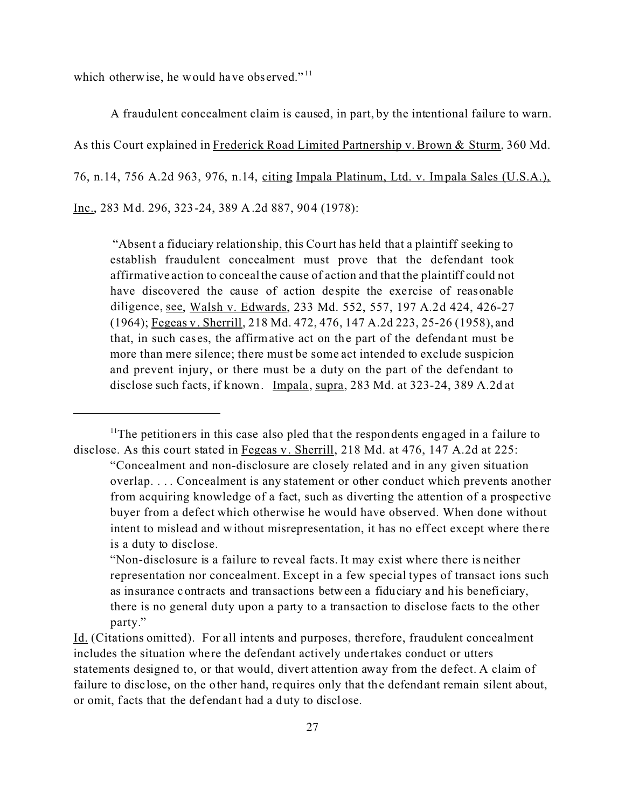which otherwise, he would have observed." $11$ 

A fraudulent concealment claim is caused, in part, by the intentional failure to warn. As this Court explained in Frederick Road Limited Partnership v. Brown & Sturm, 360 Md. 76, n.14, 756 A.2d 963, 976, n.14, citing Impala Platinum, Ltd. v. Impala Sales (U.S.A.), Inc., 283 Md. 296, 323-24, 389 A.2d 887, 904 (1978):

 "Absent a fiduciary relationship, this Court has held that a plaintiff seeking to establish fraudulent concealment must prove that the defendant took affirmative action to conceal the cause of action and that the plaintiff could not have discovered the cause of action despite the exercise of reasonable diligence, see, Walsh v. Edwards, 233 Md. 552, 557, 197 A.2d 424, 426-27 (1964); Fegeas v. Sherrill, 218 Md. 472, 476, 147 A.2d 223, 25-26 (1958), and that, in such cas es, the affirmative act on the part of the defendant must be more than mere silence; there must be some act intended to exclude suspicion and prevent injury, or there must be a duty on the part of the defendant to disclose such facts, if known. Impala, supra, 283 Md. at 323-24, 389 A.2d at

 $11$ The petitioners in this case also pled that the respondents engaged in a failure to disclose. As this court stated in Fegeas v. Sherrill, 218 Md. at 476, 147 A.2d at 225:

<sup>&</sup>quot;Concealment and non-disclosure are closely related and in any given situation overlap. . . . Concealment is any statement or other conduct which prevents another from acquiring knowledge of a fact, such as diverting the attention of a prospective buyer from a defect which otherwise he would have observed. When done without intent to mislead and without misrepresentation, it has no effect except where there is a duty to disclose.

<sup>&</sup>quot;Non-disclosure is a failure to reveal facts. It may exist where there is neither representation nor concealment. Except in a few special types of transact ions such as insurance contracts and transactions between a fiduciary and his beneficiary, there is no general duty upon a party to a transaction to disclose facts to the other party."

Id. (Citations omitted). For all intents and purposes, therefore, fraudulent concealment includes the situation where the defendant actively undertakes conduct or utters statements designed to, or that would, divert attention away from the defect. A claim of failure to disc lose, on the other hand, requires only that the defendant remain silent about, or omit, f acts that the defendant had a duty to disclose.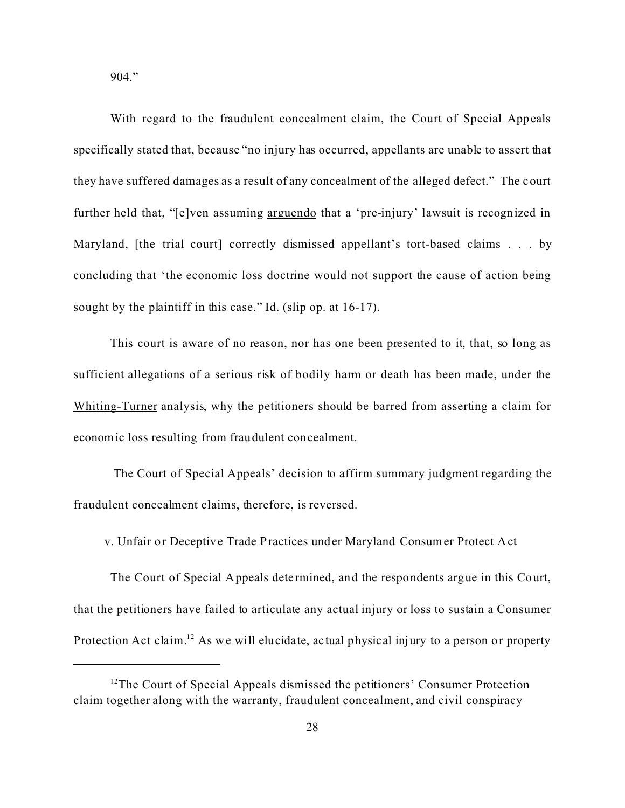904."

With regard to the fraudulent concealment claim, the Court of Special Appeals specifically stated that, because "no injury has occurred, appellants are unable to assert that they have suffered damages as a result of any concealment of the alleged defect." The court further held that, "[e]ven assuming arguendo that a 'pre-injury' lawsuit is recognized in Maryland, [the trial court] correctly dismissed appellant's tort-based claims . . . by concluding that 'the economic loss doctrine would not support the cause of action being sought by the plaintiff in this case."  $\underline{Id}$ . (slip op. at 16-17).

This court is aware of no reason, nor has one been presented to it, that, so long as sufficient allegations of a serious risk of bodily harm or death has been made, under the Whiting-Turner analysis, why the petitioners should be barred from asserting a claim for economic loss resulting from fraudulent concealment.

 The Court of Special Appeals' decision to affirm summary judgment regarding the fraudulent concealment claims, therefore, is reversed.

v. Unfair or Deceptive Trade Practices under Maryland Consumer Protect Act

The Court of Special Appeals dete rmined, and the respondents argue in this Court, that the petitioners have failed to articulate any actual injury or loss to sustain a Consumer Protection Act claim.<sup>12</sup> As we will elucidate, actual physical injury to a person or property

 $12$ The Court of Special Appeals dismissed the petitioners' Consumer Protection claim together along with the warranty, fraudulent concealment, and civil conspiracy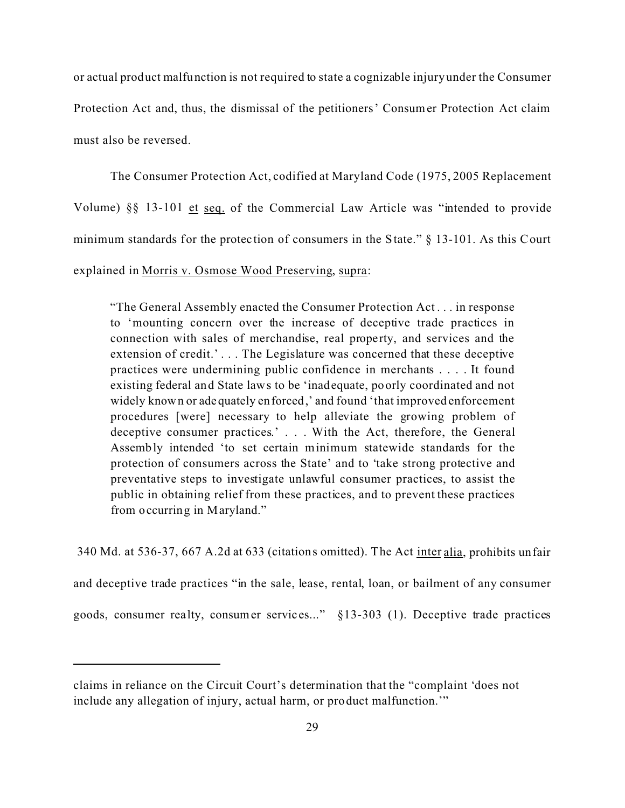or actual product malfunction is not required to state a cognizable injury under the Consumer Protection Act and, thus, the dismissal of the petitioners' Consumer Protection Act claim must also be reversed.

The Consumer Protection Act, codified at Maryland Code (1975, 2005 Replacement Volume) §§ 13-101 et seq. of the Commercial Law Article was "intended to provide minimum standards for the protec tion of consumers in the State." § 13-101. As this Court explained in Morris v. Osmose Wood Preserving, supra:

"The General Assembly enacted the Consumer Protection Act . . . in response to 'mounting concern over the increase of deceptive trade practices in connection with sales of merchandise, real property, and services and the extension of credit.'... The Legislature was concerned that these deceptive practices were undermining public confidence in merchants . . . . It found existing federal and State laws to be 'inadequate, poorly coordinated and not widely known or adequately enforced,' and found 'that improved enforcement procedures [were] necessary to help alleviate the growing problem of deceptive consumer practices.' . . . With the Act, therefore, the General Assembly intended 'to set certain minimum statewide standards for the protection of consumers across the State' and to 'take strong protective and preventative steps to investigate unlawful consumer practices, to assist the public in obtaining relief from these practices, and to prevent these practices from occurring in Maryland."

 340 Md. at 536-37, 667 A.2d at 633 (citations omitted). The Act inter alia, prohibits unfair and deceptive trade practices "in the sale, lease, rental, loan, or bailment of any consumer goods, consumer realty, consumer services..." §13-303 (1). Deceptive trade practices

claims in reliance on the Circuit Court's determination that the "complaint 'does not include any allegation of injury, actual harm, or product malfunction.'"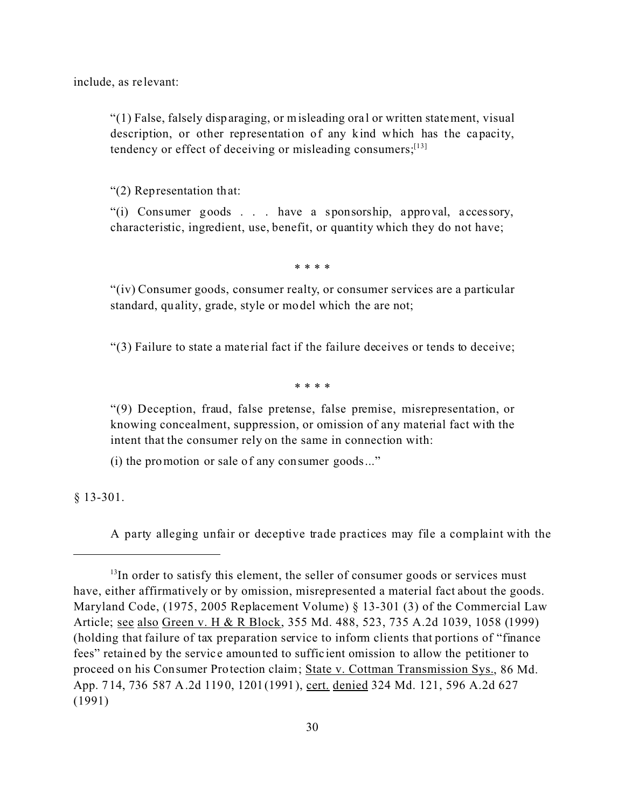include, as re levant:

"(1) False, falsely disparaging, or misleading ora l or written statement, visual description, or other representation of any kind which has the capacity, tendency or effect of deceiving or misleading consumers;  $[13]$ 

"(2) Representation that:

"(i) Consumer goods . . . have a sponsorship, approval, a ccessory, characteristic, ingredient, use, benefit, or quantity which they do not have;

\* \* \* \*

"(iv) Consumer goods, consumer realty, or consumer services are a particular standard, quality, grade, style or model which the are not;

"(3) Failure to state a mate rial fact if the failure deceives or tends to deceive;

\* \* \* \*

"(9) Deception, fraud, false pretense, false premise, misrepresentation, or knowing concealment, suppression, or omission of any material fact with the intent that the consumer rely on the same in connection with:

(i) the promotion or sale of any consumer goods..."

§ 13-301.

A party alleging unfair or deceptive trade practices may file a complaint with the

 $13$ In order to satisfy this element, the seller of consumer goods or services must have, either affirmatively or by omission, misrepresented a material fact about the goods. Maryland Code, (1975, 2005 Replacement Volume) § 13-301 (3) of the Commercial Law Article; see also Green v. H & R Block, 355 Md. 488, 523, 735 A.2d 1039, 1058 (1999) (holding that failure of tax preparation service to inform clients that portions of "finance fees" retained by the servic e amounted to suffic ient omission to allow the petitioner to proceed on his Consumer Protection claim; State v. Cottman Transmission Sys., 86 Md. App. 714, 736 587 A.2d 1190, 1201(1991), cert. denied 324 Md. 121, 596 A.2d 627 (1991)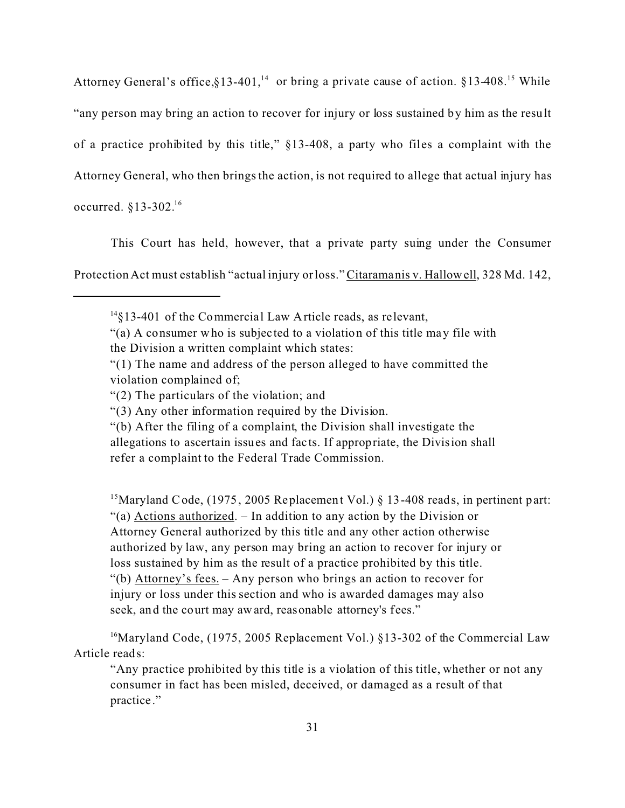Attorney General's office, §13-401,<sup>14</sup> or bring a private cause of action. §13-408.<sup>15</sup> While "any person may bring an action to recover for injury or loss sustained by him as the result of a practice prohibited by this title," §13-408, a party who files a complaint with the Attorney General, who then brings the action, is not required to allege that actual injury has occurred. §13-302.<sup>16</sup>

This Court has held, however, that a private party suing under the Consumer

Protection Act must establish "actual injury or loss." Citaramanis v. Hallowell, 328 Md. 142,

<sup>15</sup>Maryland Code, (1975, 2005 Replacement Vol.)  $\S$  13-408 reads, in pertinent part: "(a) Actions authorized. – In addition to any action by the Division or Attorney General authorized by this title and any other action otherwise authorized by law, any person may bring an action to recover for injury or loss sustained by him as the result of a practice prohibited by this title. "(b) Attorney's fees. – Any person who brings an action to recover for injury or loss under this section and who is awarded damages may also seek, and the court may award, reasonable attorney's fees."

<sup>16</sup>Maryland Code, (1975, 2005 Replacement Vol.) §13-302 of the Commercial Law Article reads:

"Any practice prohibited by this title is a violation of this title, whether or not any consumer in fact has been misled, deceived, or damaged as a result of that practice ."

 $14\frac{14}{3}$ 13-401 of the Commercial Law Article reads, as relevant,

<sup>&</sup>quot;(a) A consumer who is subjec ted to a violation of this title may file with the Division a written complaint which states:

<sup>&</sup>quot;(1) The name and address of the person alleged to have committed the violation complained of;

<sup>&</sup>quot;(2) The particulars of the violation; and

<sup>&</sup>quot;(3) Any other information required by the Division.

<sup>&</sup>quot;(b) After the filing of a complaint, the Division shall investigate the allegations to ascertain issues and fac ts. If appropriate, the Division shall refer a complaint to the Federal Trade Commission.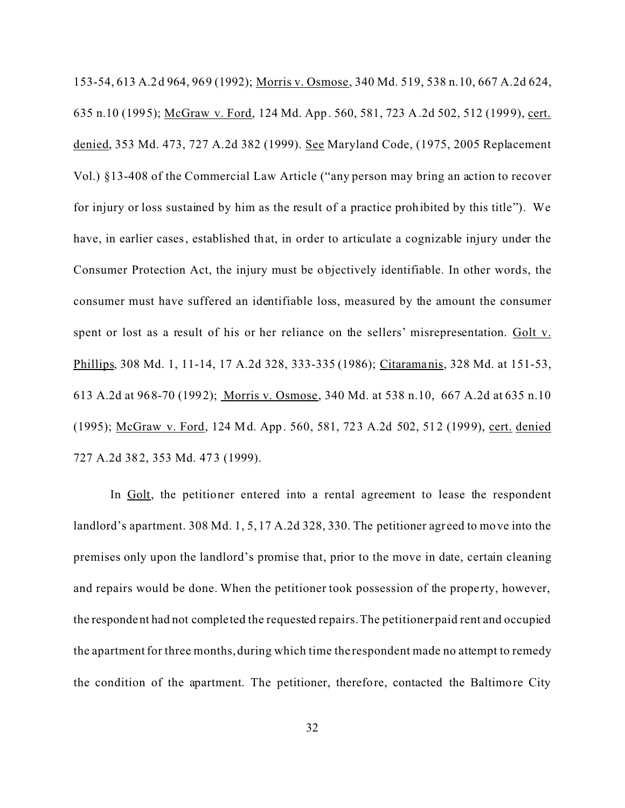153-54, 613 A.2d 964, 969 (1992); Morris v. Osmose, 340 Md. 519, 538 n.10, 667 A.2d 624, 635 n.10 (1995); McGraw v. Ford, 124 Md. App. 560, 581, 723 A.2d 502, 512 (1999), cert. denied, 353 Md. 473, 727 A.2d 382 (1999). See Maryland Code, (1975, 2005 Replacement Vol.) §13-408 of the Commercial Law Article ("any person may bring an action to recover for injury or loss sustained by him as the result of a practice prohibited by this title"). We have, in earlier cases, established that, in order to articulate a cognizable injury under the Consumer Protection Act, the injury must be objectively identifiable. In other words, the consumer must have suffered an identifiable loss, measured by the amount the consumer spent or lost as a result of his or her reliance on the sellers' misrepresentation. Golt v. Phillips, 308 Md. 1, 11-14, 17 A.2d 328, 333-335 (1986); Citaramanis, 328 Md. at 151-53, 613 A.2d at 968-70 (1992); Morris v. Osmose, 340 Md. at 538 n.10, 667 A.2d at 635 n.10 (1995); McGraw v. Ford, 124 Md. App. 560, 581, 723 A.2d 502, 512 (1999), cert. denied 727 A.2d 382, 353 Md. 473 (1999).

In Golt, the petitioner entered into a rental agreement to lease the respondent landlord's apartment. 308 Md. 1, 5, 17 A.2d 328, 330. The petitioner agreed to move into the premises only upon the landlord's promise that, prior to the move in date, certain cleaning and repairs would be done. When the petitioner took possession of the property, however, the respondent had not completed the requested repairs. The petitioner paid rent and occupied the apartment for three months, during which time the respondent made no attempt to remedy the condition of the apartment. The petitioner, therefore, contacted the Baltimore City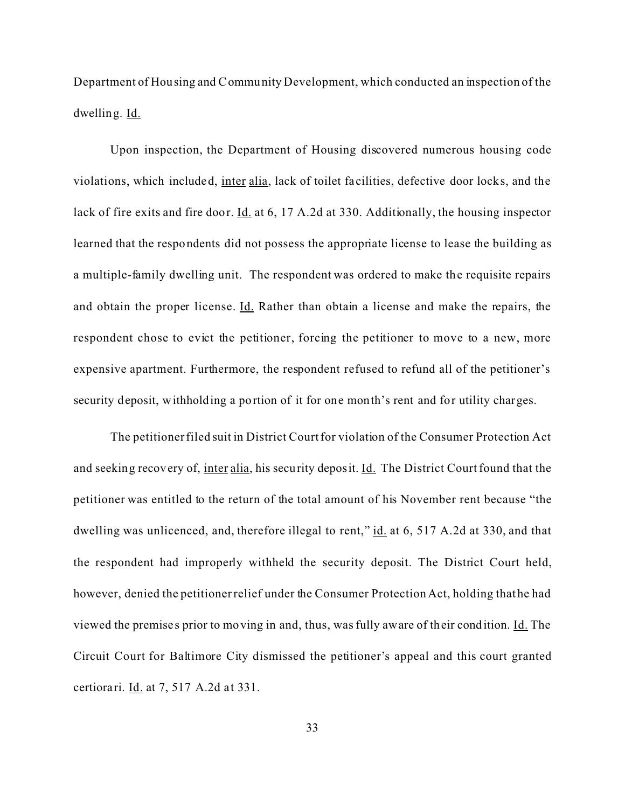Department of Housing and Community Development, which conducted an inspection of the dwelling. Id.

Upon inspection, the Department of Housing discovered numerous housing code violations, which included, inter alia, lack of toilet fa cilities, defective door locks, and the lack of fire exits and fire door. Id. at 6, 17 A.2d at 330. Additionally, the housing inspector learned that the respondents did not possess the appropriate license to lease the building as a multiple-family dwelling unit. The respondent was ordered to make the requisite repairs and obtain the proper license. Id. Rather than obtain a license and make the repairs, the respondent chose to evict the petitioner, forcing the petitioner to move to a new, more expensive apartment. Furthermore, the respondent refused to refund all of the petitioner's security deposit, withholding a portion of it for one month's rent and for utility charges.

The petitioner filed suit in District Court for violation of the Consumer Protection Act and seeking recovery of, inter alia, his security deposit. Id. The District Court found that the petitioner was entitled to the return of the total amount of his November rent because "the dwelling was unlicenced, and, therefore illegal to rent," id. at 6, 517 A.2d at 330, and that the respondent had improperly withheld the security deposit. The District Court held, however, denied the petitioner relief under the Consumer Protection Act, holding that he had viewed the premise s prior to moving in and, thus, was fully aware of their condition. Id. The Circuit Court for Baltimore City dismissed the petitioner's appeal and this court granted certiorari. Id. at 7, 517 A.2d at 331.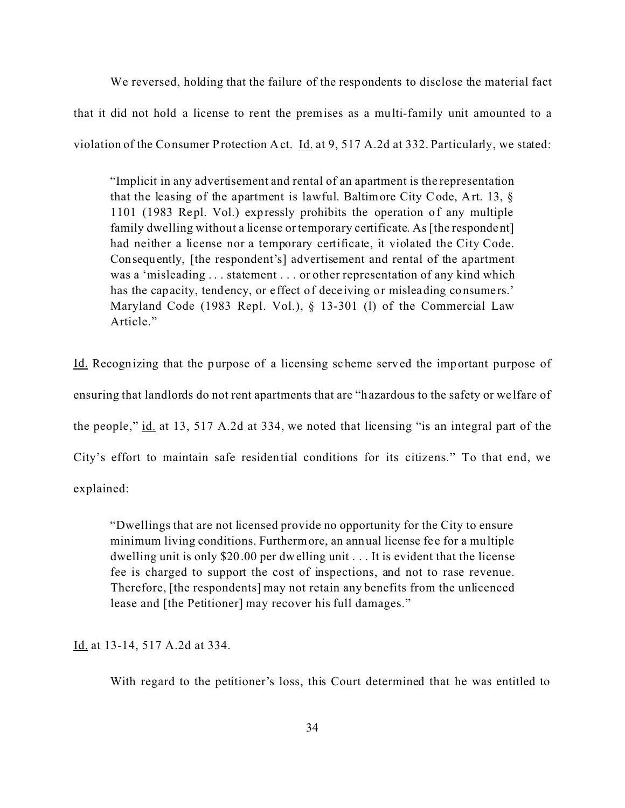We reversed, holding that the failure of the respondents to disclose the material fact that it did not hold a license to rent the premises as a multi-family unit amounted to a violation of the Consumer Protection Act. *Id.* at 9, 517 A.2d at 332. Particularly, we stated:

"Implicit in any advertisement and rental of an apartment is the representation that the leasing of the apartment is lawful. Baltimore City Code, Art. 13, § 1101 (1983 Repl. Vol.) expressly prohibits the operation of any multiple family dwelling without a license or temporary certificate. As [the respondent] had neither a license nor a temporary certificate, it violated the City Code. Consequently, [the respondent's] advertisement and rental of the apartment was a 'misleading . . . statement . . . or other representation of any kind which has the capacity, tendency, or effect of deceiving or misleading consumers.' Maryland Code (1983 Repl. Vol.), § 13-301 (l) of the Commercial Law Article."

Id. Recognizing that the purpose of a licensing scheme served the important purpose of ensuring that landlords do not rent apartments that are "hazardous to the safety or we lfare of the people," id. at 13, 517 A.2d at 334, we noted that licensing "is an integral part of the City's effort to maintain safe residential conditions for its citizens." To that end, we explained:

"Dwellings that are not licensed provide no opportunity for the City to ensure minimum living conditions. Furthermore, an annual license fee for a multiple dwelling unit is only \$20.00 per dwelling unit . . . It is evident that the license fee is charged to support the cost of inspections, and not to rase revenue. Therefore, [the respondents] may not retain any benefits from the unlicenced lease and [the Petitioner] may recover his full damages."

Id. at 13-14, 517 A.2d at 334.

With regard to the petitioner's loss, this Court determined that he was entitled to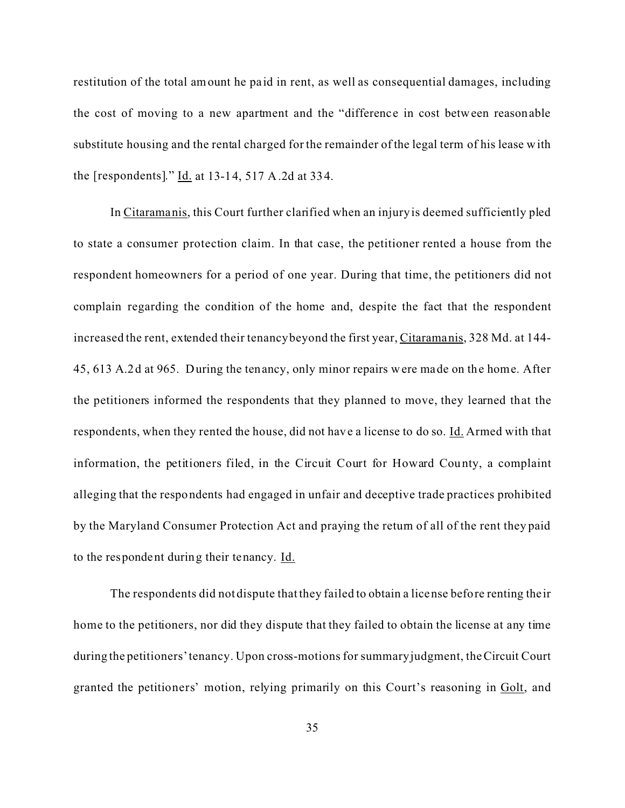restitution of the total amount he paid in rent, as well as consequential damages, including the cost of moving to a new apartment and the "difference in cost between reasonable substitute housing and the rental charged for the remainder of the legal term of his lease with the [respondents]."  $\underline{Id}$  at 13-14, 517 A.2d at 334.

In Citaramanis, this Court further clarified when an injury is deemed sufficiently pled to state a consumer protection claim. In that case, the petitioner rented a house from the respondent homeowners for a period of one year. During that time, the petitioners did not complain regarding the condition of the home and, despite the fact that the respondent increased the rent, extended their tenancy beyond the first year, Citaramanis, 328 Md. at 144- 45, 613 A.2d at 965. During the tenancy, only minor repairs were made on the home. After the petitioners informed the respondents that they planned to move, they learned that the respondents, when they rented the house, did not have a license to do so. Id. Armed with that information, the petitioners filed, in the Circuit Court for Howard County, a complaint alleging that the respondents had engaged in unfair and deceptive trade practices prohibited by the Maryland Consumer Protection Act and praying the return of all of the rent they paid to the respondent during their tenancy. Id.

The respondents did not dispute that they failed to obtain a license before renting the ir home to the petitioners, nor did they dispute that they failed to obtain the license at any time during the petitioners' tenancy. Upon cross-motions for summary judgment, the Circuit Court granted the petitioners' motion, relying primarily on this Court's reasoning in Golt, and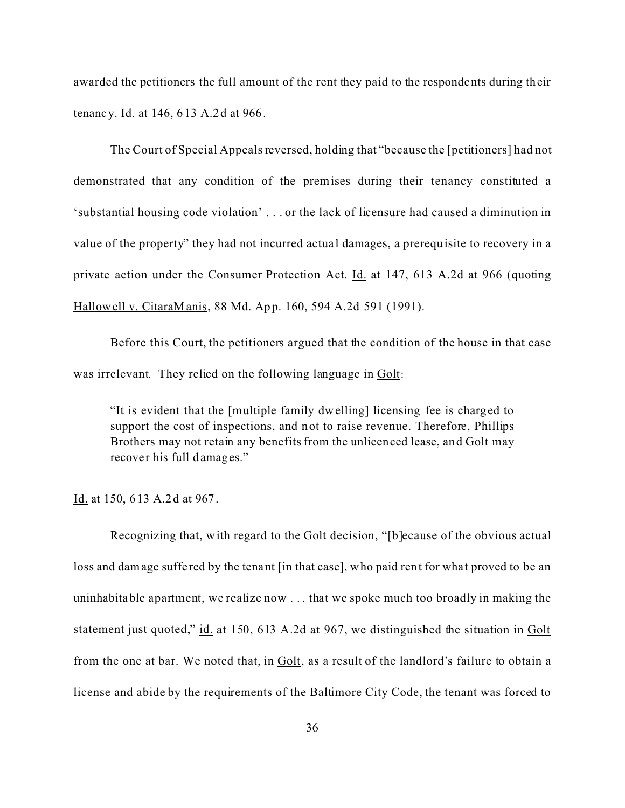awarded the petitioners the full amount of the rent they paid to the respondents during their tenancy. Id. at 146, 613 A.2d at 966.

The Court of Special Appeals reversed, holding that "because the [petitioners] had not demonstrated that any condition of the premises during their tenancy constituted a 'substantial housing code violation' . . . or the lack of licensure had caused a diminution in value of the property" they had not incurred actua l damages, a prerequisite to recovery in a private action under the Consumer Protection Act. Id. at 147, 613 A.2d at 966 (quoting Hallowell v. CitaraManis, 88 Md. App. 160, 594 A.2d 591 (1991).

Before this Court, the petitioners argued that the condition of the house in that case was irrelevant. They relied on the following language in Golt:

"It is evident that the [multiple family dwelling] licensing fee is charged to support the cost of inspections, and not to raise revenue. Therefore, Phillips Brothers may not retain any benefits from the unlicenced lease, and Golt may recover his full damages."

Id. at 150, 613 A.2d at 967.

Recognizing that, with regard to the Golt decision, "[b]ecause of the obvious actual loss and damage suffe red by the tenant [in that case], who paid rent for what proved to be an uninhabitable apartment, we realize now . . . that we spoke much too broadly in making the statement just quoted," id. at 150, 613 A.2d at 967, we distinguished the situation in Golt from the one at bar. We noted that, in Golt, as a result of the landlord's failure to obtain a license and abide by the requirements of the Baltimore City Code, the tenant was forced to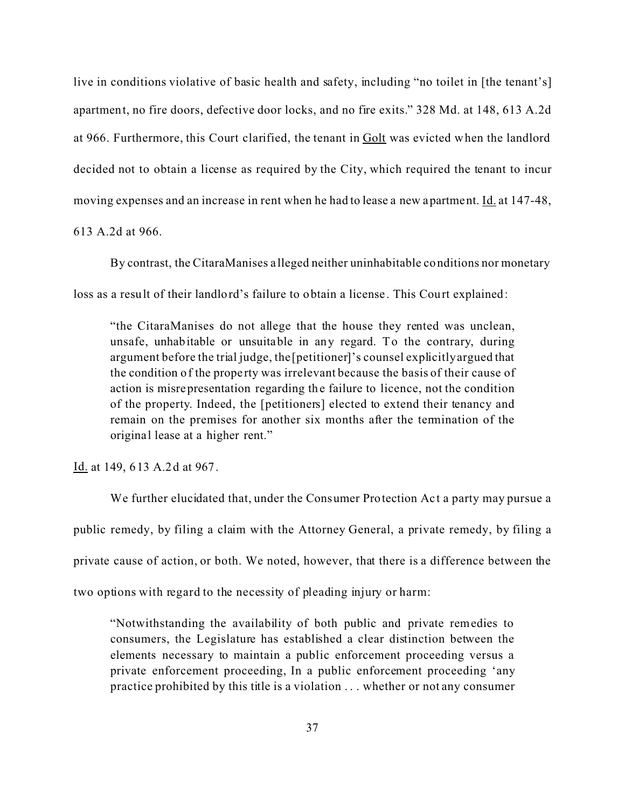live in conditions violative of basic health and safety, including "no toilet in [the tenant's] apartment, no fire doors, defective door locks, and no fire exits." 328 Md. at 148, 613 A.2d at 966. Furthermore, this Court clarified, the tenant in Golt was evicted when the landlord decided not to obtain a license as required by the City, which required the tenant to incur moving expenses and an increase in rent when he had to lease a new apartment. Id. at 147-48,

613 A.2d at 966.

By contrast, the CitaraManises a lleged neither uninhabitable conditions nor monetary loss as a result of their landlord's failure to obtain a license . This Court explained:

"the CitaraManises do not allege that the house they rented was unclean, unsafe, unhabitable or unsuitable in any regard. To the contrary, during argument before the trial judge, the [petitioner]'s counsel explicitly argued that the condition of the prope rty was irrelevant because the basis of their cause of action is misrepresentation regarding the failure to licence, not the condition of the property. Indeed, the [petitioners] elected to extend their tenancy and remain on the premises for another six months after the termination of the original lease at a higher rent."

Id. at 149, 613 A.2d at 967.

We further elucidated that, under the Consumer Protection Act a party may pursue a public remedy, by filing a claim with the Attorney General, a private remedy, by filing a private cause of action, or both. We noted, however, that there is a difference between the two options with regard to the necessity of pleading injury or harm:

"Notwithstanding the availability of both public and private remedies to consumers, the Legislature has established a clear distinction between the elements necessary to maintain a public enforcement proceeding versus a private enforcement proceeding, In a public enforcement proceeding 'any practice prohibited by this title is a violation . . . whether or not any consumer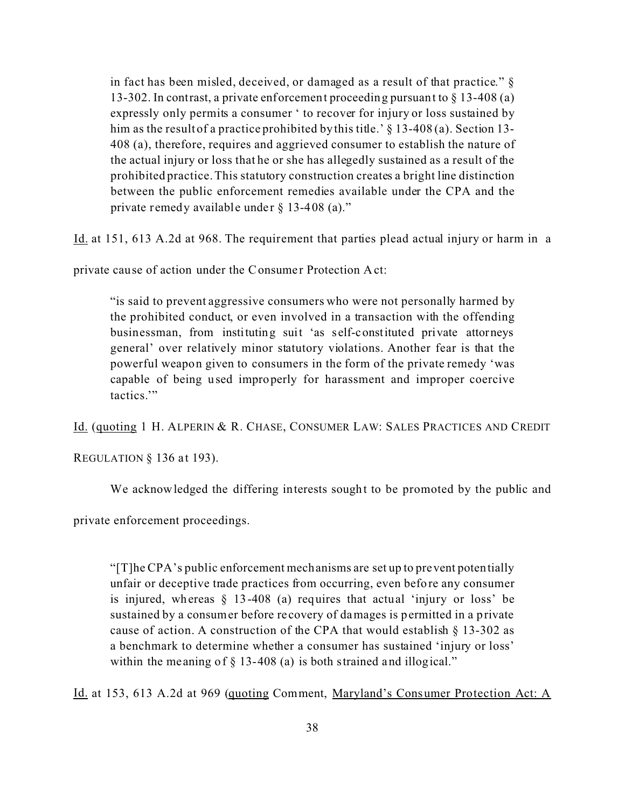in fact has been misled, deceived, or damaged as a result of that practice." § 13-302. In contrast, a private enforcement proceeding pursuant to § 13-408 (a) expressly only permits a consumer ' to recover for injury or loss sustained by him as the result of a practice prohibited by this title.' § 13-408(a). Section 13-408 (a), therefore, requires and aggrieved consumer to establish the nature of the actual injury or loss that he or she has allegedly sustained as a result of the prohibited practice. This statutory construction creates a bright line distinction between the public enforcement remedies available under the CPA and the private remedy available under  $\S$  13-408 (a)."

Id. at 151, 613 A.2d at 968. The requirement that parties plead actual injury or harm in a

private cause of action under the Consumer Protection Act:

"is said to prevent aggressive consumers who were not personally harmed by the prohibited conduct, or even involved in a transaction with the offending businessman, from instituting suit 'as self-constituted private attorneys general' over relatively minor statutory violations. Another fear is that the powerful weapon given to consumers in the form of the private remedy 'was capable of being used improperly for harassment and improper coercive tactics.'"

Id. (quoting 1 H. ALPERIN & R. CHASE, CONSUMER LAW: SALES PRACTICES AND CREDIT

REGULATION  $§$  136 at 193).

We acknowledged the differing interests sought to be promoted by the public and

private enforcement proceedings.

"[T]he CPA's public enforcement mechanisms are set up to prevent potentially unfair or deceptive trade practices from occurring, even before any consumer is injured, whereas § 13-408 (a) requires that actual 'injury or loss' be sustained by a consumer before re covery of damages is permitted in a private cause of action. A construction of the CPA that would establish § 13-302 as a benchmark to determine whether a consumer has sustained 'injury or loss' within the meaning of  $\S$  13-408 (a) is both strained and illogical."

Id. at 153, 613 A.2d at 969 (quoting Comment, Maryland's Consumer Protection Act: A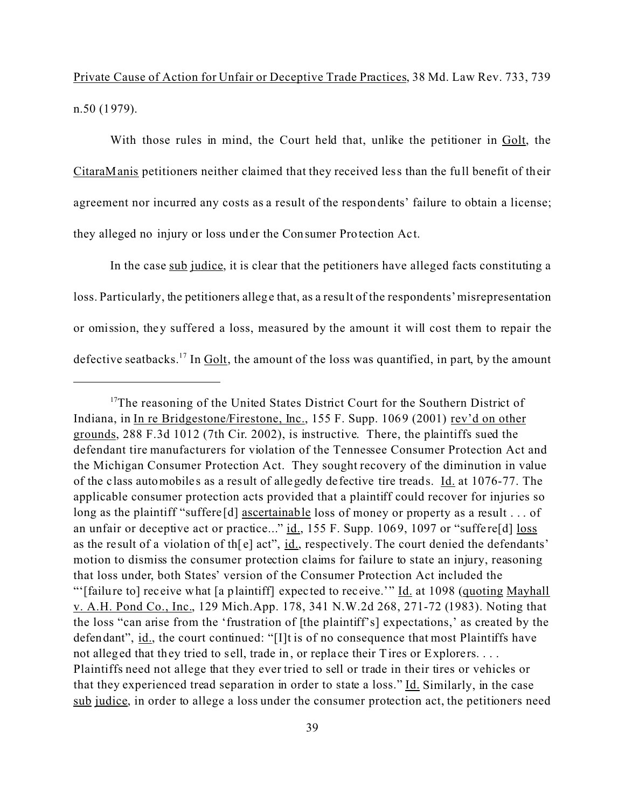Private Cause of Action for Unfair or Deceptive Trade Practices, 38 Md. Law Rev. 733, 739 n.50 (1979).

With those rules in mind, the Court held that, unlike the petitioner in Golt, the CitaraManis petitioners neither claimed that they received less than the full benefit of their agreement nor incurred any costs as a result of the respondents' failure to obtain a license; they alleged no injury or loss under the Consumer Protection Act.

In the case sub judice, it is clear that the petitioners have alleged facts constituting a loss. Particularly, the petitioners allege that, as a result of the respondents' misrepresentation or omission, they suffered a loss, measured by the amount it will cost them to repair the defective seatbacks.<sup>17</sup> In Golt, the amount of the loss was quantified, in part, by the amount

<sup>&</sup>lt;sup>17</sup>The reasoning of the United States District Court for the Southern District of Indiana, in In re Bridgestone/Firestone, Inc., 155 F. Supp. 1069 (2001) rev'd on other grounds, 288 F.3d 1012 (7th Cir. 2002), is instructive. There, the plaintiffs sued the defendant tire manufacturers for violation of the Tennessee Consumer Protection Act and the Michigan Consumer Protection Act. They sought recovery of the diminution in value of the class automobiles as a result of allegedly defective tire treads. Id. at 1076-77. The applicable consumer protection acts provided that a plaintiff could recover for injuries so long as the plaintiff "suffere [d] ascertainable loss of money or property as a result . . . of an unfair or deceptive act or practice..." id., 155 F. Supp. 1069, 1097 or "suffere[d] loss as the result of a violation of th $[e]$  act", id., respectively. The court denied the defendants' motion to dismiss the consumer protection claims for failure to state an injury, reasoning that loss under, both States' version of the Consumer Protection Act included the "'[failure to] receive what [a plaintiff] expected to receive.'" Id. at 1098 (quoting Mayhall v. A.H. Pond Co., Inc., 129 Mich.App. 178, 341 N.W.2d 268, 271-72 (1983). Noting that the loss "can arise from the 'frustration of [the plaintiff's] expectations,' as created by the defendant", id., the court continued: "[I]t is of no consequence that most Plaintiffs have not alleged that they tried to sell, trade in, or replace their Tires or Explorers. . . . Plaintiffs need not allege that they ever tried to sell or trade in their tires or vehicles or that they experienced tread separation in order to state a loss." Id. Similarly, in the case sub judice, in order to allege a loss under the consumer protection act, the petitioners need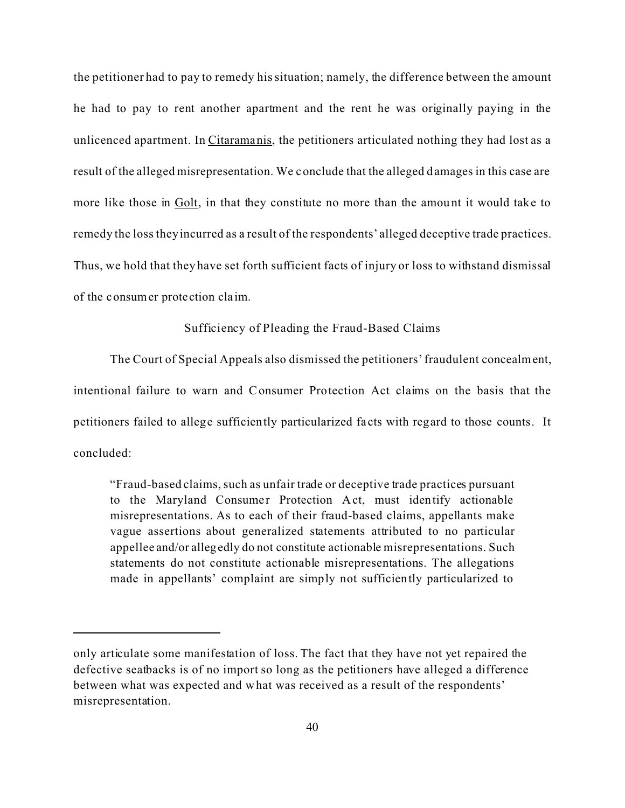the petitioner had to pay to remedy his situation; namely, the difference between the amount he had to pay to rent another apartment and the rent he was originally paying in the unlicenced apartment. In Citaramanis, the petitioners articulated nothing they had lost as a result of the alleged misrepresentation. We conclude that the alleged damages in this case are more like those in Golt, in that they constitute no more than the amount it would take to remedy the loss they incurred as a result of the respondents' alleged deceptive trade practices. Thus, we hold that they have set forth sufficient facts of injury or loss to withstand dismissal of the consumer protection cla im.

### Sufficiency of Pleading the Fraud-Based Claims

The Court of Special Appeals also dismissed the petitioners' fraudulent concealment, intentional failure to warn and Consumer Protection Act claims on the basis that the petitioners failed to allege sufficiently particularized fa cts with regard to those counts. It concluded:

"Fraud-based claims, such as unfair trade or deceptive trade practices pursuant to the Maryland Consumer Protection Act, must identify actionable misrepresentations. As to each of their fraud-based claims, appellants make vague assertions about generalized statements attributed to no particular appellee and/or allegedly do not constitute actionable misrepresentations. Such statements do not constitute actionable misrepresentations. The allegations made in appellants' complaint are simply not sufficiently particularized to

only articulate some manifestation of loss. The fact that they have not yet repaired the defective seatbacks is of no import so long as the petitioners have alleged a difference between what was expected and what was received as a result of the respondents' misrepresentation.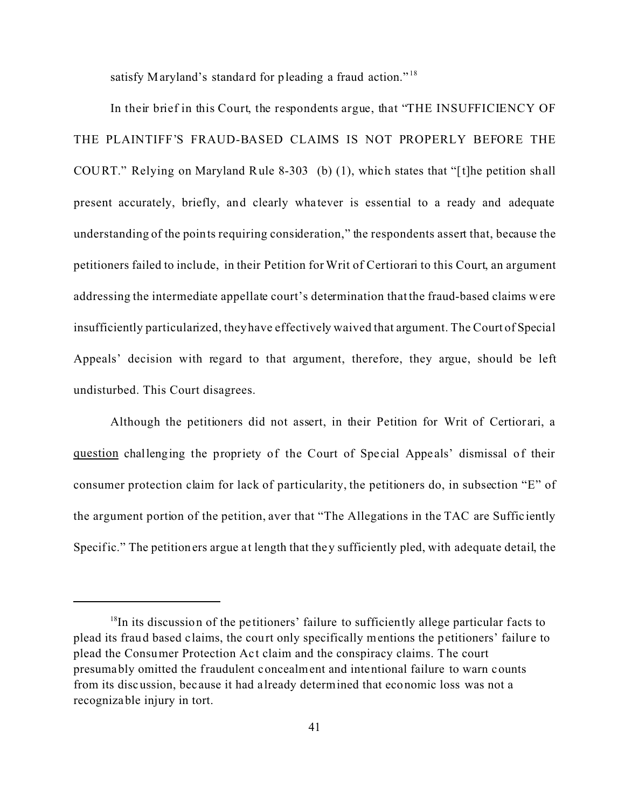satisfy Maryland's standard for pleading a fraud action."<sup>18</sup>

In their brief in this Court, the respondents argue, that "THE INSUFFICIENCY OF THE PLAINTIFF'S FRAUD-BASED CLAIMS IS NOT PROPERLY BEFORE THE COURT." Relying on Maryland Rule 8-303 (b) (1), which states that "[t]he petition shall present accurately, briefly, and clearly wha tever is essential to a ready and adequate understanding of the points requiring consideration," the respondents assert that, because the petitioners failed to include, in their Petition for Writ of Certiorari to this Court, an argument addressing the intermediate appellate court's determination that the fraud-based claims were insufficiently particularized, they have effectively waived that argument. The Court of Special Appeals' decision with regard to that argument, therefore, they argue, should be left undisturbed. This Court disagrees.

Although the petitioners did not assert, in their Petition for Writ of Certiorari, a question challenging the propriety of the Court of Special Appeals' dismissal of their consumer protection claim for lack of particularity, the petitioners do, in subsection "E" of the argument portion of the petition, aver that "The Allegations in the TAC are Suffic iently Specific." The petitioners argue at length that they sufficiently pled, with adequate detail, the

 $18$ In its discussion of the petitioners' failure to sufficiently allege particular facts to plead its fraud based claims, the court only specifically mentions the petitioners' failure to plead the Consumer Protection Ac t claim and the conspiracy claims. The court presumably omitted the fraudulent concealment and intentional failure to warn counts from its discussion, because it had a lready determined that economic loss was not a recognizable injury in tort.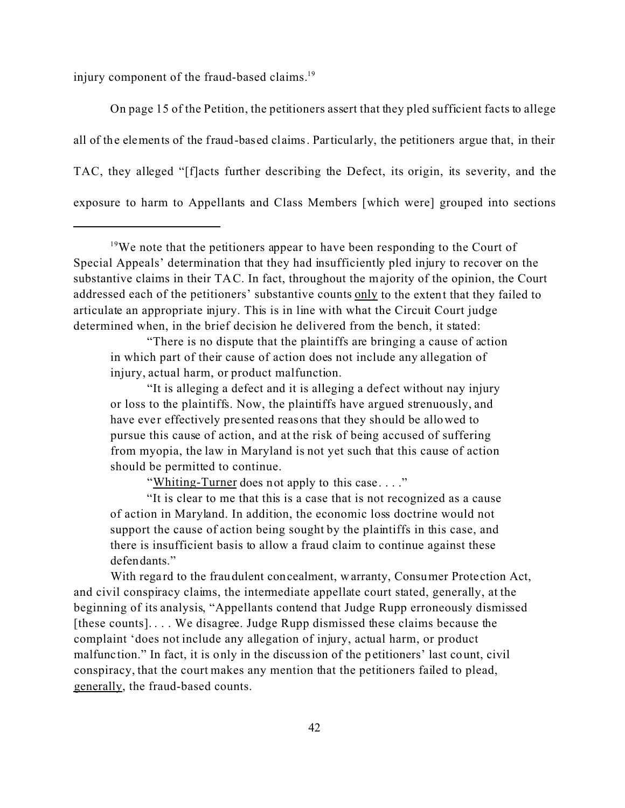injury component of the fraud-based claims.<sup>19</sup>

On page 15 of the Petition, the petitioners assert that they pled sufficient facts to allege all of the elements of the fraud-based claims. Particularly, the petitioners argue that, in their TAC, they alleged "[f]acts further describing the Defect, its origin, its severity, and the exposure to harm to Appellants and Class Members [which were] grouped into sections

"There is no dispute that the plaintiffs are bringing a cause of action in which part of their cause of action does not include any allegation of injury, actual harm, or product malfunction.

"It is alleging a defect and it is alleging a def ect without nay injury or loss to the plaintiffs. Now, the plaintiffs have argued strenuously, and have ever effectively presented reasons that they should be allowed to pursue this cause of action, and at the risk of being accused of suffering from myopia, the law in Maryland is not yet such that this cause of action should be permitted to continue.

"Whiting-Turner does not apply to this case...."

"It is clear to me that this is a case that is not recognized as a cause of action in Maryland. In addition, the economic loss doctrine would not support the cause of action being sought by the plaintiffs in this case, and there is insufficient basis to allow a fraud claim to continue against these defendants."

With regard to the fraudulent concealment, warranty, Consumer Protection Act, and civil conspiracy claims, the intermediate appellate court stated, generally, at the beginning of its analysis, "Appellants contend that Judge Rupp erroneously dismissed [these counts]. . . . We disagree. Judge Rupp dismissed these claims because the complaint 'does not include any allegation of injury, actual harm, or product malfunc tion." In fact, it is only in the discussion of the petitioners' last count, civil conspiracy, that the court makes any mention that the petitioners failed to plead, generally, the fraud-based counts.

<sup>&</sup>lt;sup>19</sup>We note that the petitioners appear to have been responding to the Court of Special Appeals' determination that they had insufficiently pled injury to recover on the substantive claims in their TAC. In fact, throughout the majority of the opinion, the Court addressed each of the petitioners' substantive counts only to the extent that they failed to articulate an appropriate injury. This is in line with what the Circuit Court judge determined when, in the brief decision he delivered from the bench, it stated: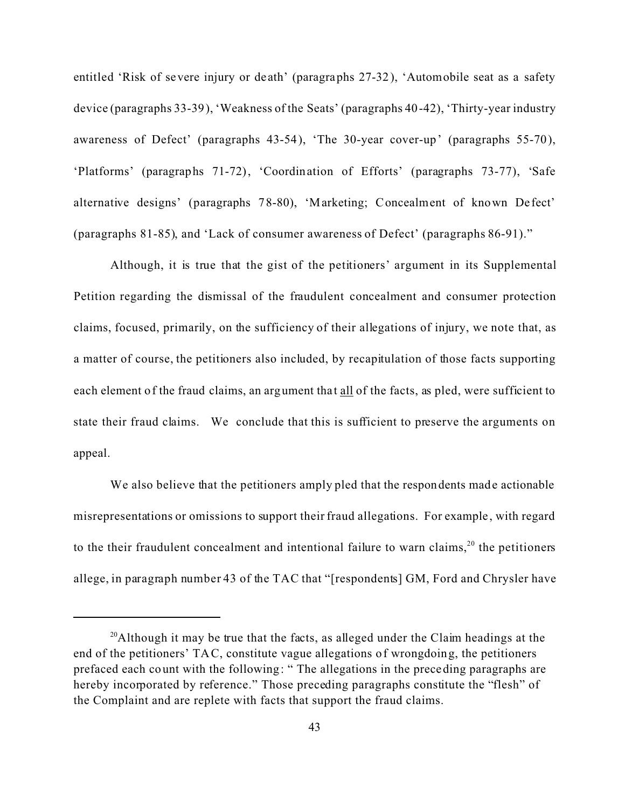entitled 'Risk of severe injury or de ath' (paragraphs 27-32), 'Automobile seat as a safety device (paragraphs 33-39), 'Weakness of the Seats' (paragraphs 40-42), 'Thirty-year industry awareness of Defect' (paragraphs 43-54), 'The 30-year cover-up' (paragraphs 55-70), 'Platforms' (paragraphs 71-72), 'Coordination of Efforts' (paragraphs 73-77), 'Safe alternative designs' (paragraphs 78-80), 'Marketing; Concealment of known De fect' (paragraphs 81-85), and 'Lack of consumer awareness of Defect' (paragraphs 86-91)."

Although, it is true that the gist of the petitioners' argument in its Supplemental Petition regarding the dismissal of the fraudulent concealment and consumer protection claims, focused, primarily, on the sufficiency of their allegations of injury, we note that, as a matter of course, the petitioners also included, by recapitulation of those facts supporting each element of the fraud claims, an argument that all of the facts, as pled, were sufficient to state their fraud claims. We conclude that this is sufficient to preserve the arguments on appeal.

We also believe that the petitioners amply pled that the respondents made actionable misrepresentations or omissions to support their fraud allegations. For example, with regard to the their fraudulent concealment and intentional failure to warn claims,<sup>20</sup> the petitioners allege, in paragraph number 43 of the TAC that "[respondents] GM, Ford and Chrysler have

 $20$ Although it may be true that the facts, as alleged under the Claim headings at the end of the petitioners' TAC, constitute vague allegations of wrongdoing, the petitioners prefaced each count with the following: " The allegations in the preceding paragraphs are hereby incorporated by reference." Those preceding paragraphs constitute the "flesh" of the Complaint and are replete with facts that support the fraud claims.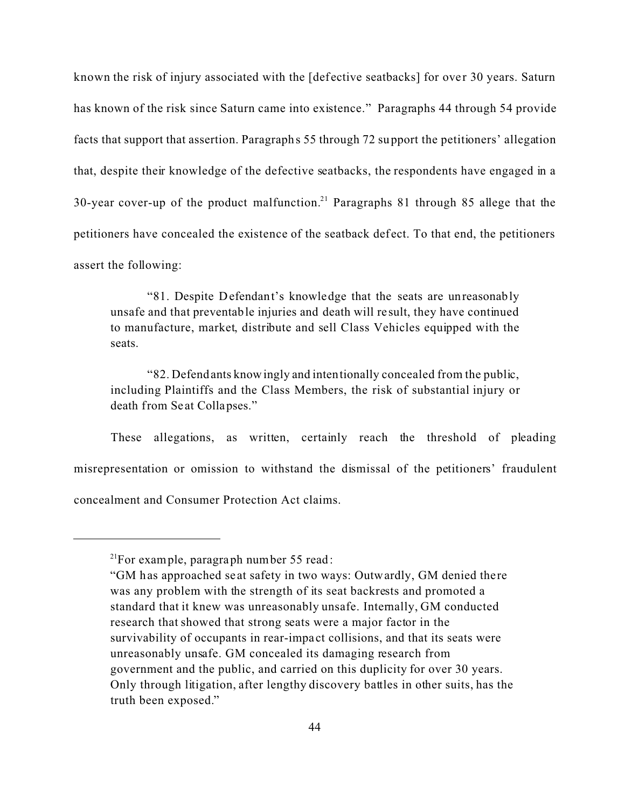known the risk of injury associated with the [defective seatbacks] for over 30 years. Saturn has known of the risk since Saturn came into existence." Paragraphs 44 through 54 provide facts that support that assertion. Paragraphs 55 through 72 support the petitioners' allegation that, despite their knowledge of the defective seatbacks, the respondents have engaged in a 30-year cover-up of the product malfunction.<sup>21</sup> Paragraphs 81 through 85 allege that the petitioners have concealed the existence of the seatback def ect. To that end, the petitioners assert the following:

"81. Despite Defendant's knowledge that the seats are unreasonably unsafe and that preventable injuries and death will re sult, they have continued to manufacture, market, distribute and sell Class Vehicles equipped with the seats.

"82. Defendants knowingly and intentionally concealed from the public, including Plaintiffs and the Class Members, the risk of substantial injury or death from Se at Collapses."

These allegations, as written, certainly reach the threshold of pleading misrepresentation or omission to withstand the dismissal of the petitioners' fraudulent concealment and Consumer Protection Act claims.

 $2^{1}$ For example, paragraph number 55 read:

<sup>&</sup>quot;GM has approached seat safety in two ways: Outwardly, GM denied there was any problem with the strength of its seat backrests and promoted a standard that it knew was unreasonably unsafe. Internally, GM conducted research that showed that strong seats were a major factor in the survivability of occupants in rear-impa ct collisions, and that its seats were unreasonably unsafe. GM concealed its damaging research from government and the public, and carried on this duplicity for over 30 years. Only through litigation, after lengthy discovery battles in other suits, has the truth been exposed."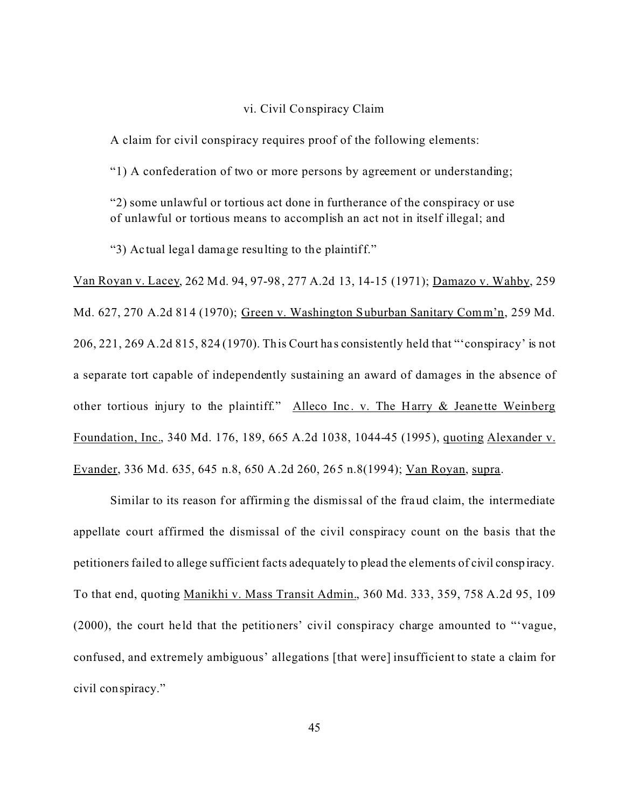#### vi. Civil Conspiracy Claim

A claim for civil conspiracy requires proof of the following elements:

"1) A confederation of two or more persons by agreement or understanding;

"2) some unlawful or tortious act done in furtherance of the conspiracy or use of unlawful or tortious means to accomplish an act not in itself illegal; and

"3) Actual legal damage resulting to the plaintiff."

Van Royan v. Lacey, 262 Md. 94, 97-98, 277 A.2d 13, 14-15 (1971); Damazo v. Wahby, 259 Md. 627, 270 A.2d 814 (1970); Green v. Washington Suburban Sanitary Comm'n, 259 Md. 206, 221, 269 A.2d 815, 824 (1970). This Court ha s consistently held that "'conspiracy' is not a separate tort capable of independently sustaining an award of damages in the absence of other tortious injury to the plaintiff." Alleco Inc. v. The Harry & Jeanette Weinberg Foundation, Inc., 340 Md. 176, 189, 665 A.2d 1038, 1044-45 (1995), quoting Alexander v. Evander, 336 Md. 635, 645 n.8, 650 A.2d 260, 265 n.8(1994); Van Royan, supra.

Similar to its reason for affirming the dismissal of the fraud claim, the intermediate appellate court affirmed the dismissal of the civil conspiracy count on the basis that the petitioners failed to allege sufficient facts adequately to plead the elements of civil conspiracy. To that end, quoting Manikhi v. Mass Transit Admin., 360 Md. 333, 359, 758 A.2d 95, 109 (2000), the court held that the petitioners' civil conspiracy charge amounted to "'vague, confused, and extremely ambiguous' allegations [that were] insufficient to state a claim for civil conspiracy."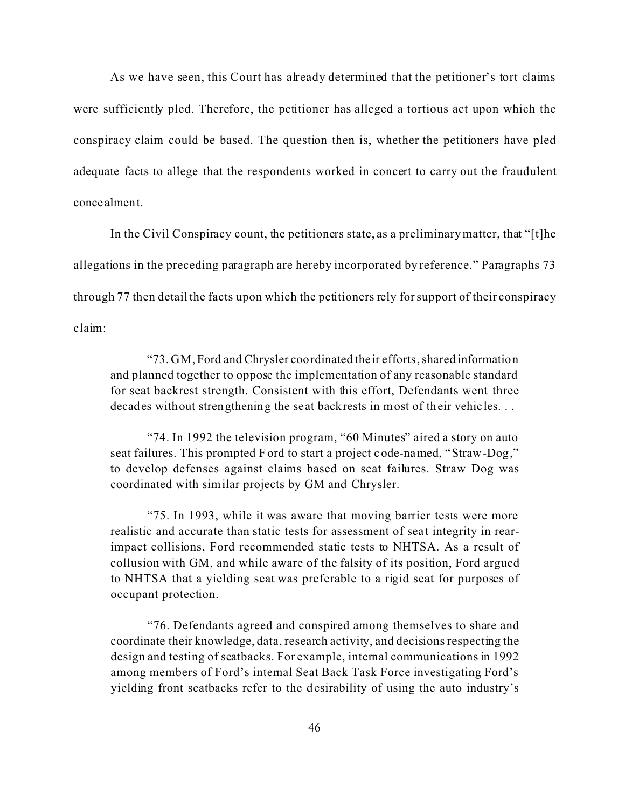As we have seen, this Court has already determined that the petitioner's tort claims were sufficiently pled. Therefore, the petitioner has alleged a tortious act upon which the conspiracy claim could be based. The question then is, whether the petitioners have pled adequate facts to allege that the respondents worked in concert to carry out the fraudulent concealment.

In the Civil Conspiracy count, the petitioners state, as a preliminary matter, that "[t]he allegations in the preceding paragraph are hereby incorporated by reference." Paragraphs 73 through 77 then detail the facts upon which the petitioners rely for support of their conspiracy claim:

"73. GM, Ford and Chrysler coordinated their efforts, shared information and planned together to oppose the implementation of any reasonable standard for seat backrest strength. Consistent with this effort, Defendants went three decades without strengthening the seat backrests in most of their vehicles...

"74. In 1992 the television program, "60 Minutes" aired a story on auto seat failures. This prompted Ford to start a project code-named, "Straw-Dog," to develop defenses against claims based on seat failures. Straw Dog was coordinated with similar projects by GM and Chrysler.

"75. In 1993, while it was aware that moving barrier tests were more realistic and accurate than static tests for assessment of seat integrity in rearimpact collisions, Ford recommended static tests to NHTSA. As a result of collusion with GM, and while aware of the falsity of its position, Ford argued to NHTSA that a yielding seat was preferable to a rigid seat for purposes of occupant protection.

"76. Defendants agreed and conspired among themselves to share and coordinate their knowledge, data, research activity, and decisions respecting the design and testing of seatbacks. For example, internal communications in 1992 among members of Ford's internal Seat Back Task Force investigating Ford's yielding front seatbacks refer to the desirability of using the auto industry's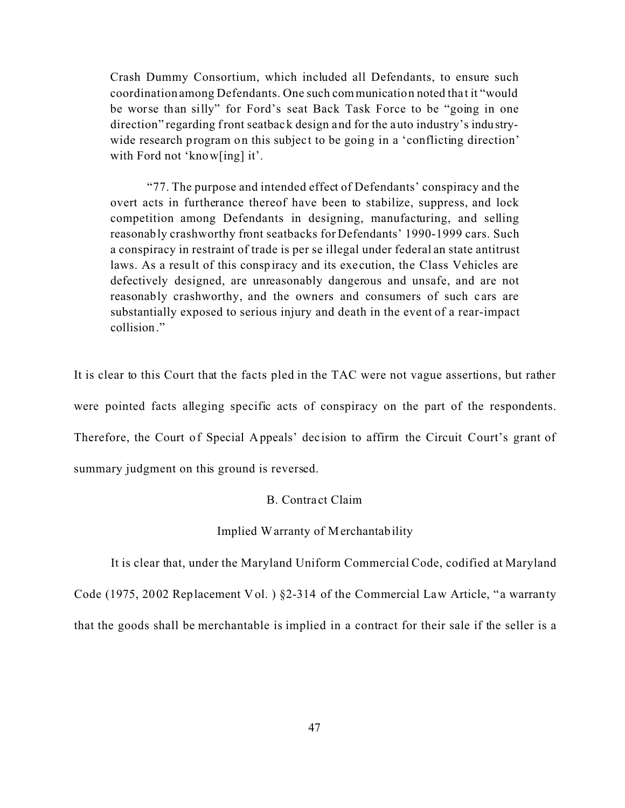Crash Dummy Consortium, which included all Defendants, to ensure such coordination among Defendants. One such communication noted tha t it "would be worse than silly" for Ford's seat Back Task Force to be "going in one direction" regarding front seatback design and for the auto industry's industrywide research program on this subject to be going in a 'conflicting direction' with Ford not 'know[ing] it'.

"77. The purpose and intended effect of Defendants' conspiracy and the overt acts in furtherance thereof have been to stabilize, suppress, and lock competition among Defendants in designing, manufacturing, and selling reasonably crashworthy front seatbacks for Defendants' 1990-1999 cars. Such a conspiracy in restraint of trade is per se illegal under federal an state antitrust laws. As a result of this conspiracy and its execution, the Class Vehicles are defectively designed, are unreasonably dangerous and unsafe, and are not reasonably crashworthy, and the owners and consumers of such cars are substantially exposed to serious injury and death in the event of a rear-impact collision."

It is clear to this Court that the facts pled in the TAC were not vague assertions, but rather were pointed facts alleging specific acts of conspiracy on the part of the respondents. Therefore, the Court of Special Appeals' dec ision to affirm the Circuit Court's grant of summary judgment on this ground is reversed.

### B. Contra ct Claim

#### Implied Warranty of Merchantability

It is clear that, under the Maryland Uniform Commercial Code, codified at Maryland

Code (1975, 2002 Replacement Vol.) §2-314 of the Commercial Law Article, "a warranty

that the goods shall be merchantable is implied in a contract for their sale if the seller is a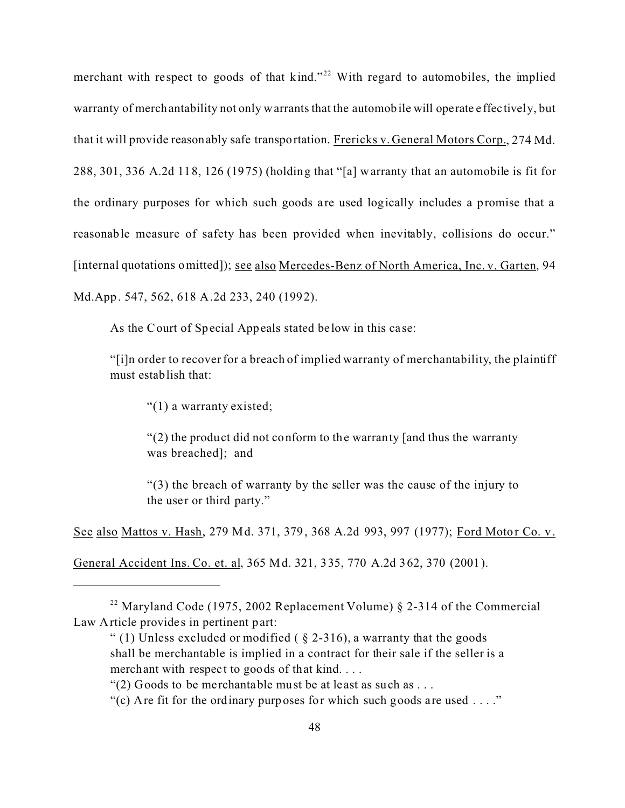merchant with respect to goods of that kind."<sup>22</sup> With regard to automobiles, the implied warranty of merchantability not only warrants that the automobile will operate e ffec tively, but that it will provide reasonably safe transportation. Frericks v. General Motors Corp., 274 Md. 288, 301, 336 A.2d 118, 126 (1975) (holding that "[a] warranty that an automobile is fit for the ordinary purposes for which such goods are used logically includes a promise that a reasonable measure of safety has been provided when inevitably, collisions do occur." [internal quotations omitted]); see also Mercedes-Benz of North America, Inc. v. Garten, 94 Md.App. 547, 562, 618 A.2d 233, 240 (1992).

As the Court of Special Appeals stated be low in this ca se:

"[i]n order to recover for a breach of implied warranty of merchantability, the plaintiff must establish that:

"(1) a warranty existed;

"(2) the product did not conform to the warranty [and thus the warranty was breached]; and

"(3) the breach of warranty by the seller was the cause of the injury to the user or third party."

See also Mattos v. Hash, 279 Md. 371, 379, 368 A.2d 993, 997 (1977); Ford Motor Co. v.

General Accident Ins. Co. et. al, 365 Md. 321, 335, 770 A.2d 362, 370 (2001).

<sup>&</sup>lt;sup>22</sup> Maryland Code (1975, 2002 Replacement Volume)  $§$  2-314 of the Commercial Law Article provides in pertinent part:

<sup>&</sup>quot; (1) Unless excluded or modified ( $\S$  2-316), a warranty that the goods shall be merchantable is implied in a contract for their sale if the seller is a merchant with respect to goods of that kind. . . .

<sup>&</sup>quot;(2) Goods to be merchantable must be at least as such as . . .

<sup>&</sup>quot;(c) Are fit for the ordinary purposes for which such goods are used  $\dots$ "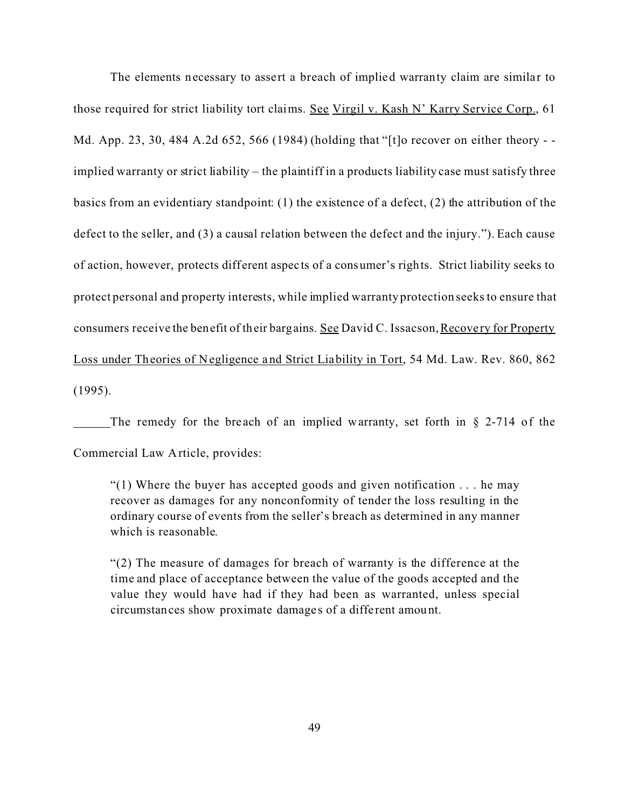The elements necessary to assert a breach of implied warranty claim are similar to those required for strict liability tort claims. See Virgil v. Kash N' Karry Service Corp., 61 Md. App. 23, 30, 484 A.2d 652, 566 (1984) (holding that "[t]o recover on either theory - implied warranty or strict liability – the plaintiff in a products liability case must satisfy three basics from an evidentiary standpoint: (1) the existence of a defect, (2) the attribution of the defect to the seller, and (3) a causal relation between the defect and the injury."). Each cause of action, however, protects different aspects of a consumer's rights. Strict liability seeks to protect personal and property interests, while implied warranty protection seeks to ensure that consumers receive the benefit of their bargains. See David C. Issacson, Recovery for Property Loss under Theories of Negligence and Strict Liability in Tort, 54 Md. Law. Rev. 860, 862 (1995).

The remedy for the breach of an implied warranty, set forth in  $\S$  2-714 of the Commercial Law Article, provides:

 $(1)$  Where the buyer has accepted goods and given notification ... he may recover as damages for any nonconformity of tender the loss resulting in the ordinary course of events from the seller's breach as determined in any manner which is reasonable.

"(2) The measure of damages for breach of warranty is the difference at the time and place of acceptance between the value of the goods accepted and the value they would have had if they had been as warranted, unless special circumstances show proximate damage s of a diffe rent amount.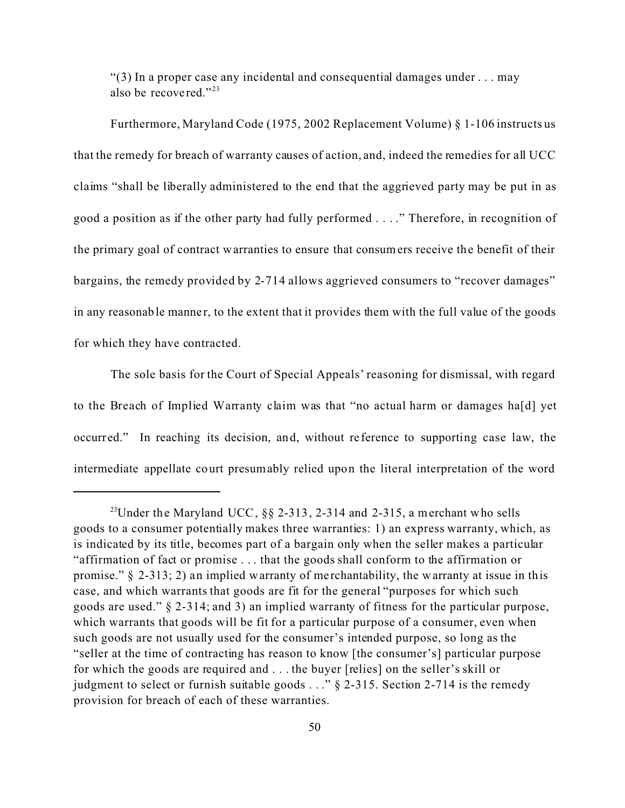"(3) In a proper case any incidental and consequential damages under . . . may also be recovered."<sup>23</sup>

Furthermore, Maryland Code (1975, 2002 Replacement Volume) § 1-106 instructs us that the remedy for breach of warranty causes of action, and, indeed the remedies for all UCC claims "shall be liberally administered to the end that the aggrieved party may be put in as good a position as if the other party had fully performed . . . ." Therefore, in recognition of the primary goal of contract warranties to ensure that consumers receive the benefit of their bargains, the remedy provided by 2-714 allows aggrieved consumers to "recover damages" in any reasonable manner, to the extent that it provides them with the full value of the goods for which they have contracted.

The sole basis for the Court of Special Appeals' reasoning for dismissal, with regard to the Breach of Implied Warranty claim was that "no actual harm or damages ha[d] yet occurred." In reaching its decision, and, without re ference to supporting case law, the intermediate appellate court presumably relied upon the literal interpretation of the word

<sup>&</sup>lt;sup>23</sup>Under the Maryland UCC,  $\S$ § 2-313, 2-314 and 2-315, a merchant who sells goods to a consumer potentially makes three warranties: 1) an express warranty, which, as is indicated by its title, becomes part of a bargain only when the seller makes a particular "affirmation of fact or promise . . . that the goods shall conform to the affirmation or promise." § 2-313; 2) an implied warranty of me rchantability, the warranty at issue in this case, and which warrants that goods are fit for the general "purposes for which such goods are used." § 2-314; and 3) an implied warranty of fitness for the particular purpose, which warrants that goods will be fit for a particular purpose of a consumer, even when such goods are not usually used for the consumer's intended purpose, so long as the "seller at the time of contracting has reason to know [the consumer's] particular purpose for which the goods are required and . . . the buyer [relies] on the seller's skill or judgment to select or furnish suitable goods . . ." § 2-315. Section 2-714 is the remedy provision for breach of each of these warranties.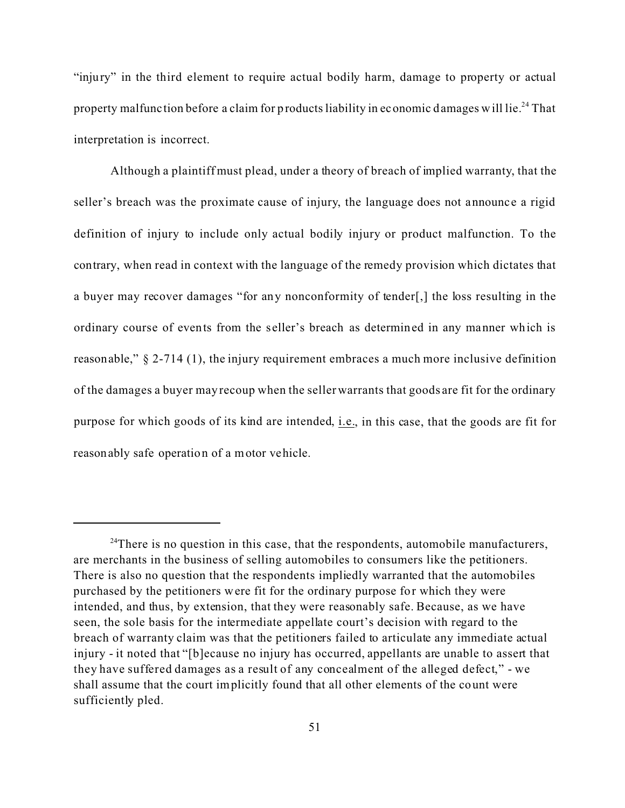"injury" in the third element to require actual bodily harm, damage to property or actual property malfunction before a claim for products liability in economic damages will lie.<sup>24</sup> That interpretation is incorrect.

Although a plaintiff must plead, under a theory of breach of implied warranty, that the seller's breach was the proximate cause of injury, the language does not announce a rigid definition of injury to include only actual bodily injury or product malfunction. To the contrary, when read in context with the language of the remedy provision which dictates that a buyer may recover damages "for any nonconformity of tender[,] the loss resulting in the ordinary course of events from the seller's breach as determined in any manner which is reasonable," § 2-714 (1), the injury requirement embraces a much more inclusive definition of the damages a buyer may recoup when the seller warrants that goods are fit for the ordinary purpose for which goods of its kind are intended, i.e., in this case, that the goods are fit for reasonably safe operation of a motor vehicle.

 $24$ There is no question in this case, that the respondents, automobile manufacturers, are merchants in the business of selling automobiles to consumers like the petitioners. There is also no question that the respondents impliedly warranted that the automobiles purchased by the petitioners were fit for the ordinary purpose for which they were intended, and thus, by extension, that they were reasonably safe. Because, as we have seen, the sole basis for the intermediate appellate court's decision with regard to the breach of warranty claim was that the petitioners failed to articulate any immediate actual injury - it noted that "[b]ecause no injury has occurred, appellants are unable to assert that they have suffered damages as a result of any concealment of the alleged defect," - we shall assume that the court implicitly found that all other elements of the count were sufficiently pled.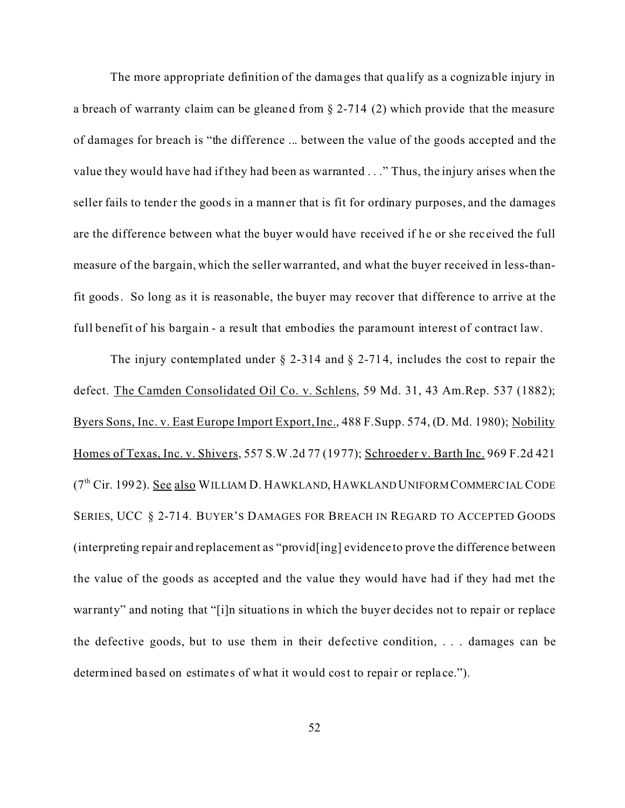The more appropriate definition of the damages that qua lify as a cognizable injury in a breach of warranty claim can be gleaned from § 2-714 (2) which provide that the measure of damages for breach is "the difference ... between the value of the goods accepted and the value they would have had if they had been as warranted . . ." Thus, the injury arises when the seller fails to tender the goods in a manner that is fit for ordinary purposes, and the damages are the difference between what the buyer would have received if he or she received the full measure of the bargain, which the seller warranted, and what the buyer received in less-thanfit goods. So long as it is reasonable, the buyer may recover that difference to arrive at the full benefit of his bargain - a result that embodies the paramount interest of contract law.

The injury contemplated under  $\S$  2-314 and  $\S$  2-714, includes the cost to repair the defect. The Camden Consolidated Oil Co. v. Schlens, 59 Md. 31, 43 Am.Rep. 537 (1882); Byers Sons, Inc. v. East Europe Import Export, Inc., 488 F.Supp. 574, (D. Md. 1980); Nobility Homes of Texas, Inc. v. Shivers, 557 S.W.2d 77 (1977); Schroeder v. Barth Inc. 969 F.2d 421 (7<sup>th</sup> Cir. 1992). See also WILLIAM D. HAWKLAND, HAWKLAND UNIFORM COMMERCIAL CODE SERIES, UCC § 2-714. BUYER'S DAMAGES FOR BREACH IN REGARD TO ACCEPTED GOODS (interpreting repair and replacement as "provid[ing] evidence to prove the difference between the value of the goods as accepted and the value they would have had if they had met the warranty" and noting that "[i]n situations in which the buyer decides not to repair or replace the defective goods, but to use them in their defective condition, . . . damages can be determined based on estimates of what it would cost to repair or replace.").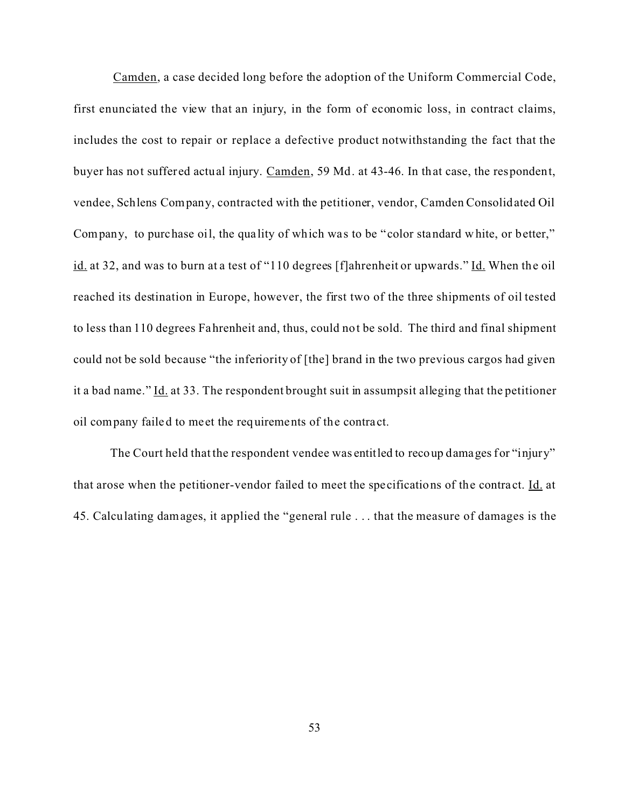Camden, a case decided long before the adoption of the Uniform Commercial Code, first enunciated the view that an injury, in the form of economic loss, in contract claims, includes the cost to repair or replace a defective product notwithstanding the fact that the buyer has not suffered actual injury. Camden, 59 Md. at 43-46. In that case, the respondent, vendee, Schlens Company, contracted with the petitioner, vendor, Camden Consolidated Oil Company, to purchase oil, the quality of which was to be "color standard white, or better," id. at 32, and was to burn at a test of "110 degrees [f]ahrenheit or upwards." Id. When the oil reached its destination in Europe, however, the first two of the three shipments of oil tested to less than 110 degrees Fahrenheit and, thus, could not be sold. The third and final shipment could not be sold because "the inferiority of [the] brand in the two previous cargos had given it a bad name." Id. at 33. The respondent brought suit in assumpsit alleging that the petitioner oil company failed to meet the requirements of the contra ct.

The Court held that the respondent vendee was entitled to recoup damages for "injury" that arose when the petitioner-vendor failed to meet the specifications of the contra ct. Id. at 45. Calculating damages, it applied the "general rule . . . that the measure of damages is the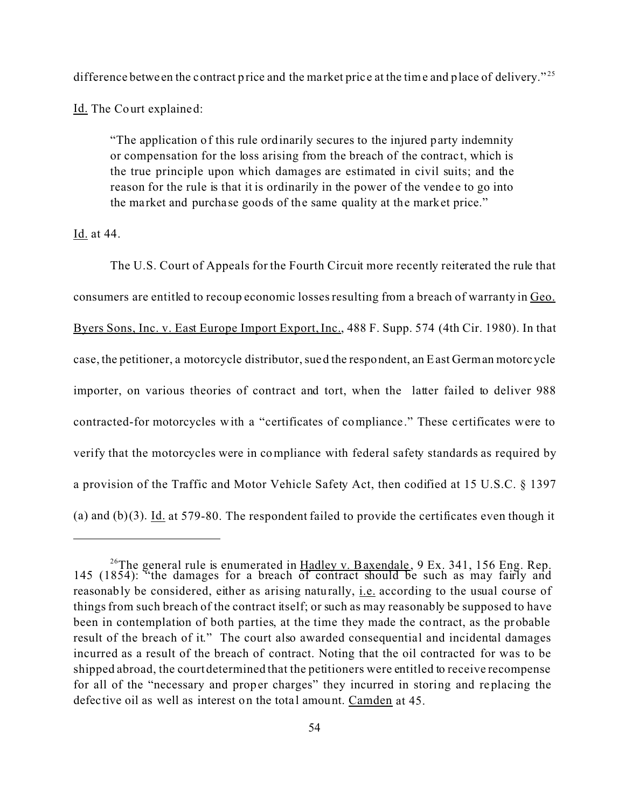difference betwe en the contract price and the market price at the time and place of delivery."<sup>25</sup>

Id. The Court explained:

"The application of this rule ordinarily secures to the injured party indemnity or compensation for the loss arising from the breach of the contract, which is the true principle upon which damages are estimated in civil suits; and the reason for the rule is that it is ordinarily in the power of the vendee to go into the market and purcha se goods of the same quality at the market price."

Id. at 44.

The U.S. Court of Appeals for the Fourth Circuit more recently reiterated the rule that consumers are entitled to recoup economic losses resulting from a breach of warranty in Geo. Byers Sons, Inc. v. East Europe Import Export, Inc., 488 F. Supp. 574 (4th Cir. 1980). In that case, the petitioner, a motorcycle distributor, sued the respondent, an East German motorcycle importer, on various theories of contract and tort, when the latter failed to deliver 988 contracted-for motorcycles with a "certificates of compliance." These certificates were to verify that the motorcycles were in compliance with federal safety standards as required by a provision of the Traffic and Motor Vehicle Safety Act, then codified at 15 U.S.C. § 1397 (a) and (b)(3). Id. at 579-80. The respondent failed to provide the certificates even though it

<sup>&</sup>lt;sup>26</sup>The general rule is enumerated in  $\underline{H}$  alley v. Baxendale, 9 Ex. 341, 156 Eng. Rep. 145 (1854): "the damages for a breach of contract should be such as may fairly and reasonably be considered, either as arising naturally, i.e. according to the usual course of things from such breach of the contract itself; or such as may reasonably be supposed to have been in contemplation of both parties, at the time they made the contract, as the probable result of the breach of it." The court also awarded consequential and incidental damages incurred as a result of the breach of contract. Noting that the oil contracted for was to be shipped abroad, the court determined that the petitioners were entitled to receive recompense for all of the "necessary and proper charges" they incurred in storing and replacing the defective oil as well as interest on the total amount. Camden at 45.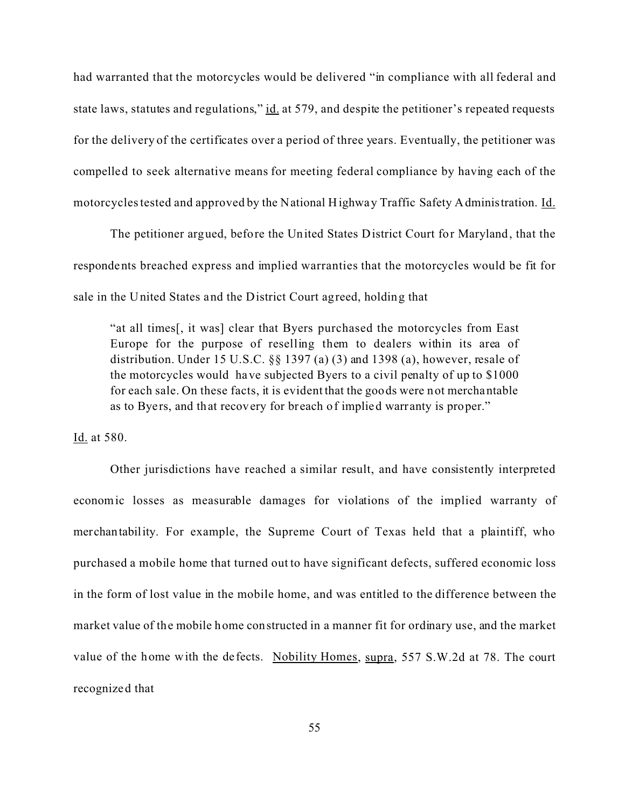had warranted that the motorcycles would be delivered "in compliance with all federal and state laws, statutes and regulations," id. at 579, and despite the petitioner's repeated requests for the delivery of the certificates over a period of three years. Eventually, the petitioner was compelled to seek alternative means for meeting federal compliance by having each of the motorcycles tested and approved by the National Highway Traffic Safety Administration. Id.

The petitioner argued, before the United States District Court for Maryland, that the respondents breached express and implied warranties that the motorcycles would be fit for sale in the United States and the District Court agreed, holding that

"at all times[, it was] clear that Byers purchased the motorcycles from East Europe for the purpose of reselling them to dealers within its area of distribution. Under 15 U.S.C.  $\S$  1397 (a) (3) and 1398 (a), however, resale of the motorcycles would have subjected Byers to a civil penalty of up to \$1000 for each sale. On these facts, it is evident that the goods were not merchantable as to Byers, and that recovery for breach of implied warranty is proper."

Id. at 580.

Other jurisdictions have reached a similar result, and have consistently interpreted economic losses as measurable damages for violations of the implied warranty of merchantability. For example, the Supreme Court of Texas held that a plaintiff, who purchased a mobile home that turned out to have significant defects, suffered economic loss in the form of lost value in the mobile home, and was entitled to the difference between the market value of the mobile home constructed in a manner fit for ordinary use, and the market value of the home with the de fects. Nobility Homes, supra, 557 S.W.2d at 78. The court recognized that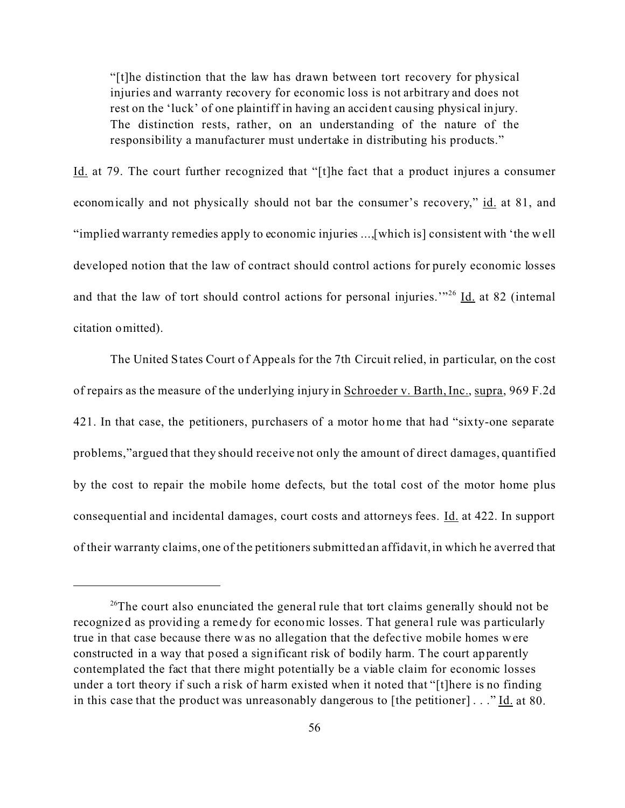"[t]he distinction that the law has drawn between tort recovery for physical injuries and warranty recovery for economic loss is not arbitrary and does not rest on the 'luck' of one plaintiff in having an accident causing physical injury. The distinction rests, rather, on an understanding of the nature of the responsibility a manufacturer must undertake in distributing his products."

Id. at 79. The court further recognized that "[t]he fact that a product injures a consumer economically and not physically should not bar the consumer's recovery," id. at 81, and "implied warranty remedies apply to economic injuries ...,[which is] consistent with 'the well developed notion that the law of contract should control actions for purely economic losses and that the law of tort should control actions for personal injuries.<sup>"26</sup> <u>Id.</u> at 82 (internal citation omitted).

The United States Court of Appe als for the 7th Circuit relied, in particular, on the cost of repairs as the measure of the underlying injury in Schroeder v. Barth, Inc., supra, 969 F.2d 421. In that case, the petitioners, purchasers of a motor home that had "sixty-one separate problems,"argued that they should receive not only the amount of direct damages, quantified by the cost to repair the mobile home defects, but the total cost of the motor home plus consequential and incidental damages, court costs and attorneys fees. Id. at 422. In support of their warranty claims, one of the petitioners submitted an affidavit, in which he averred that

 $26$ <sup>26</sup>The court also enunciated the general rule that tort claims generally should not be recognized as providing a remedy for economic losses. That general rule was particularly true in that case because there was no allegation that the defec tive mobile homes were constructed in a way that posed a significant risk of bodily harm. The court apparently contemplated the fact that there might potentially be a viable claim for economic losses under a tort theory if such a risk of harm existed when it noted that "[t]here is no finding in this case that the product was unreasonably dangerous to [the petitioner]  $\ldots$  " Id. at 80.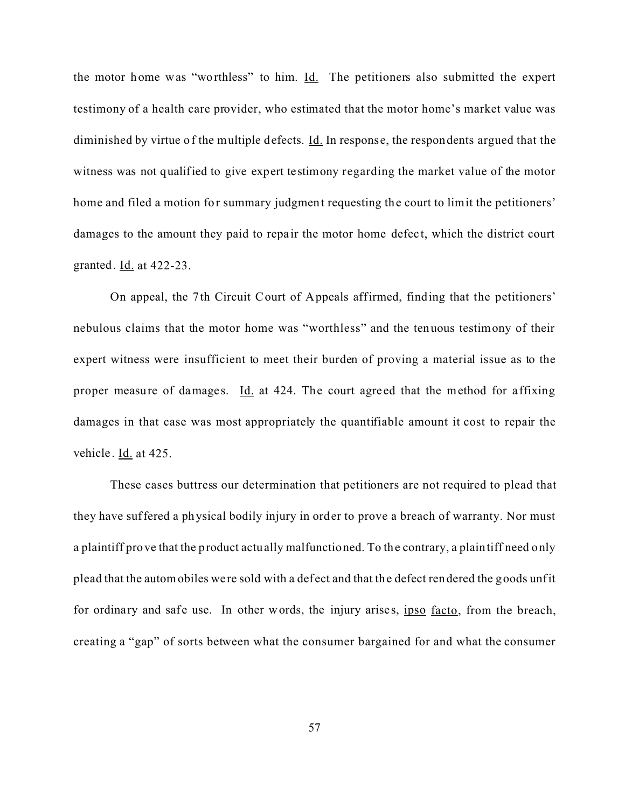the motor home was "worthless" to him. Id. The petitioners also submitted the expert testimony of a health care provider, who estimated that the motor home's market value was diminished by virtue of the multiple defects.  $\underline{Id}$ . In response, the respondents argued that the witness was not qualified to give expert testimony regarding the market value of the motor home and filed a motion for summary judgment requesting the court to limit the petitioners' damages to the amount they paid to repair the motor home defect, which the district court granted. Id. at 422-23.

On appeal, the 7th Circuit Court of Appeals affirmed, finding that the petitioners' nebulous claims that the motor home was "worthless" and the tenuous testimony of their expert witness were insufficient to meet their burden of proving a material issue as to the proper measure of damages. Id. at 424. The court agreed that the method for affixing damages in that case was most appropriately the quantifiable amount it cost to repair the vehicle. Id. at 425.

These cases buttress our determination that petitioners are not required to plead that they have suffered a physical bodily injury in order to prove a breach of warranty. Nor must a plaintiff prove that the product actually malfunctioned. To the contrary, a plaintiff need only plead that the automobiles were sold with a def ect and that the defect rendered the goods unfit for ordinary and safe use. In other words, the injury arises, ipso facto, from the breach, creating a "gap" of sorts between what the consumer bargained for and what the consumer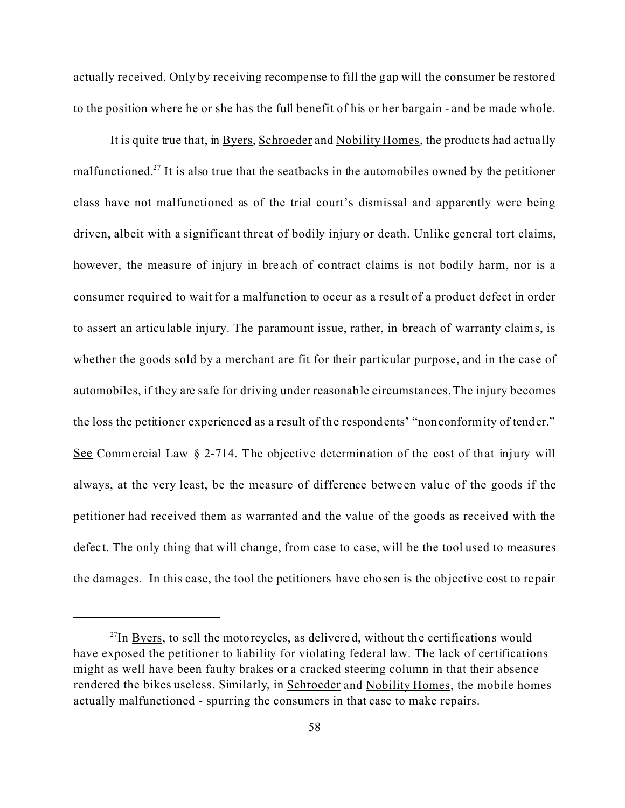actually received. Only by receiving recompense to fill the gap will the consumer be restored to the position where he or she has the full benefit of his or her bargain - and be made whole.

It is quite true that, in Byers, Schroeder and Nobility Homes, the products had actually malfunctioned.<sup>27</sup> It is also true that the seatbacks in the automobiles owned by the petitioner class have not malfunctioned as of the trial court's dismissal and apparently were being driven, albeit with a significant threat of bodily injury or death. Unlike general tort claims, however, the measure of injury in bre ach of contract claims is not bodily harm, nor is a consumer required to wait for a malfunction to occur as a result of a product defect in order to assert an articulable injury. The paramount issue, rather, in breach of warranty claims, is whether the goods sold by a merchant are fit for their particular purpose, and in the case of automobiles, if they are safe for driving under reasonable circumstances. The injury becomes the loss the petitioner experienced as a result of the respondents' "nonconformity of tender." See Commercial Law § 2-714. The objective determination of the cost of that injury will always, at the very least, be the measure of difference betwe en value of the goods if the petitioner had received them as warranted and the value of the goods as received with the defect. The only thing that will change, from case to case, will be the tool used to measures the damages. In this case, the tool the petitioners have chosen is the objective cost to repair

 $^{27}$ In Byers, to sell the motorcycles, as delivered, without the certifications would have exposed the petitioner to liability for violating federal law. The lack of certifications might as well have been faulty brakes or a cracked steering column in that their absence rendered the bikes useless. Similarly, in Schroeder and Nobility Homes, the mobile homes actually malfunctioned - spurring the consumers in that case to make repairs.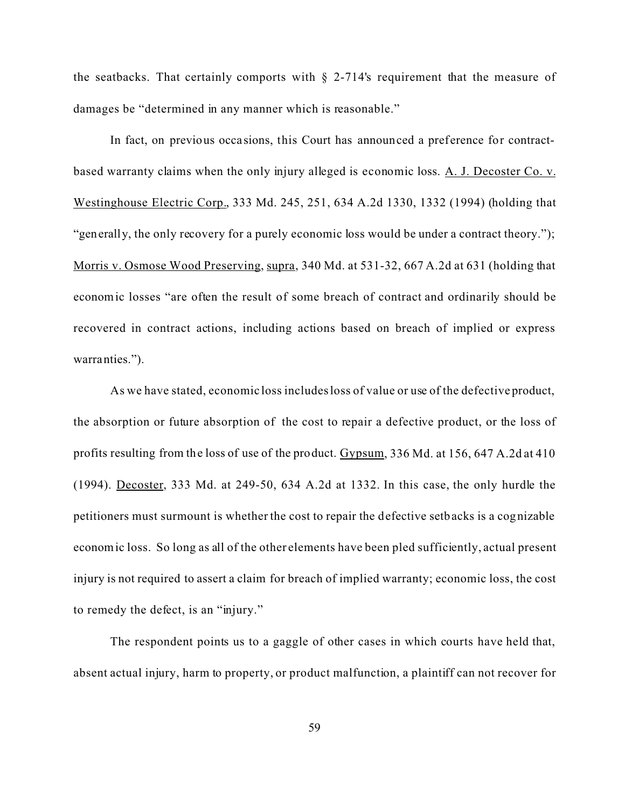the seatbacks. That certainly comports with  $\S$  2-714's requirement that the measure of damages be "determined in any manner which is reasonable."

In fact, on previous occasions, this Court has announced a preference for contractbased warranty claims when the only injury alleged is economic loss. A. J. Decoster Co. v. Westinghouse Electric Corp., 333 Md. 245, 251, 634 A.2d 1330, 1332 (1994) (holding that "generally, the only recovery for a purely economic loss would be under a contract theory."); Morris v. Osmose Wood Preserving, supra, 340 Md. at 531-32, 667 A.2d at 631 (holding that economic losses "are often the result of some breach of contract and ordinarily should be recovered in contract actions, including actions based on breach of implied or express warranties.").

As we have stated, economic loss includes loss of value or use of the defective product, the absorption or future absorption of the cost to repair a defective product, or the loss of profits resulting from the loss of use of the product. Gypsum, 336 Md. at 156, 647 A.2d at 410 (1994). Decoster, 333 Md. at 249-50, 634 A.2d at 1332. In this case, the only hurdle the petitioners must surmount is whether the cost to repair the defective setbacks is a cognizable economic loss. So long as all of the other elements have been pled sufficiently, actual present injury is not required to assert a claim for breach of implied warranty; economic loss, the cost to remedy the defect, is an "injury."

 The respondent points us to a gaggle of other cases in which courts have held that, absent actual injury, harm to property, or product malfunction, a plaintiff can not recover for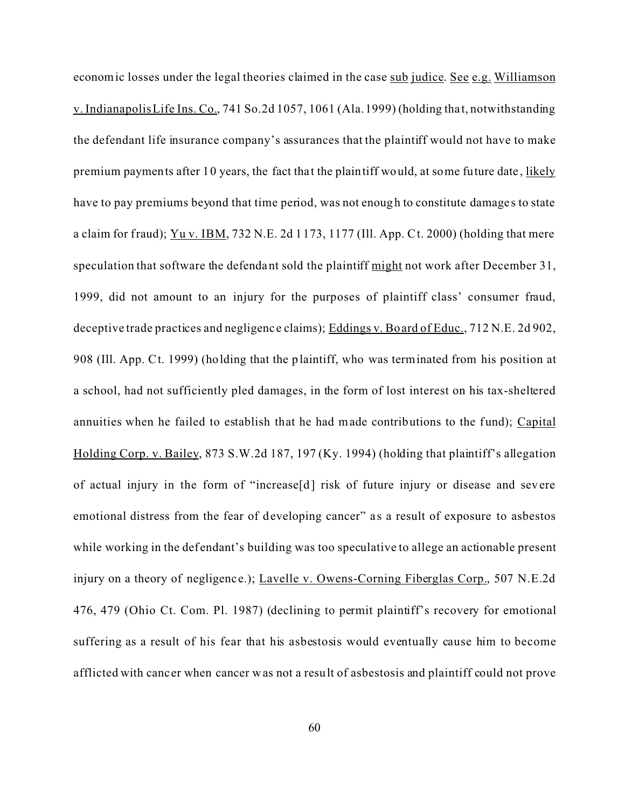economic losses under the legal theories claimed in the case sub judice. See e.g. Williamson v. Indianapolis Life Ins. Co., 741 So.2d 1057, 1061 (Ala. 1999) (holding tha t, notwithstanding the defendant life insurance company's assurances that the plaintiff would not have to make premium payments after 10 years, the fact that the plaintiff would, at some future date, likely have to pay premiums beyond that time period, was not enough to constitute damage s to state a claim for fraud);  $Yu v.$  IBM, 732 N.E. 2d 1173, 1177 (Ill. App. Ct. 2000) (holding that mere speculation that software the defendant sold the plaintiff might not work after December 31, 1999, did not amount to an injury for the purposes of plaintiff class' consumer fraud, deceptive trade practices and negligenc e claims); Eddings v. Board of Educ., 712 N.E. 2d 902, 908 (Ill. App. Ct. 1999) (holding that the plaintiff, who was terminated from his position at a school, had not sufficiently pled damages, in the form of lost interest on his tax-sheltered annuities when he failed to establish that he had made contributions to the fund); Capital Holding Corp. v. Bailey, 873 S.W.2d 187, 197 (Ky. 1994) (holding that plaintiff's allegation of actual injury in the form of "increase[d] risk of future injury or disease and severe emotional distress from the fear of developing cancer" as a result of exposure to asbestos while working in the defendant's building was too speculative to allege an actionable present injury on a theory of negligence.); Lavelle v. Owens-Corning Fiberglas Corp., 507 N.E.2d 476, 479 (Ohio Ct. Com. Pl. 1987) (declining to permit plaintiff's recovery for emotional suffering as a result of his fear that his asbestosis would eventually cause him to become afflicted with canc er when cancer was not a result of asbestosis and plaintiff could not prove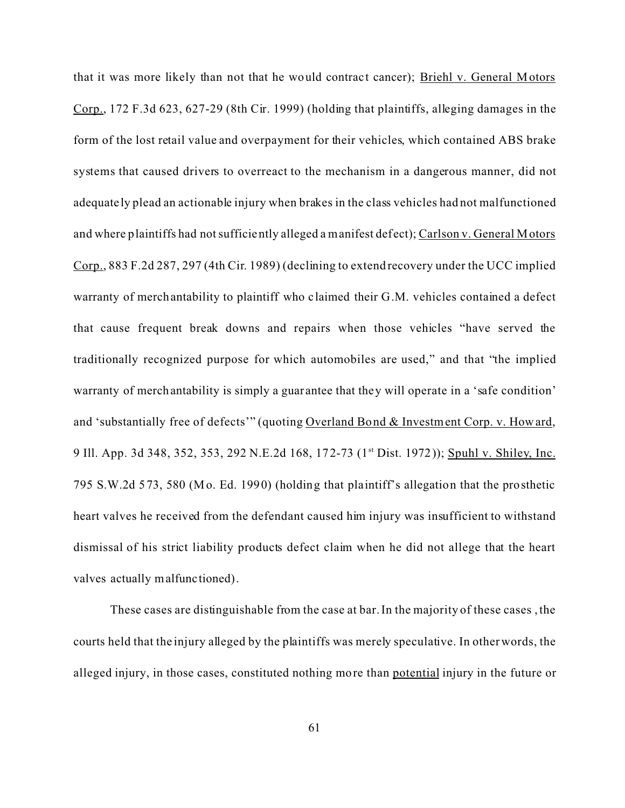that it was more likely than not that he would contract cancer); Briehl v. General Motors Corp., 172 F.3d 623, 627-29 (8th Cir. 1999) (holding that plaintiffs, alleging damages in the form of the lost retail value and overpayment for their vehicles, which contained ABS brake systems that caused drivers to overreact to the mechanism in a dangerous manner, did not adequate ly plead an actionable injury when brakes in the class vehicles had not malfunctioned and where plaintiffs had not sufficiently alleged a manifest defect); Carlson v. General Motors Corp., 883 F.2d 287, 297 (4th Cir. 1989) (declining to extend recovery under the UCC implied warranty of merchantability to plaintiff who claimed their G.M. vehicles contained a defect that cause frequent break downs and repairs when those vehicles "have served the traditionally recognized purpose for which automobiles are used," and that "the implied warranty of merchantability is simply a guarantee that they will operate in a 'safe condition' and 'substantially free of defects'" (quoting Overland Bond & Investment Corp. v. Howard, 9 Ill. App. 3d 348, 352, 353, 292 N.E.2d 168, 172-73 (1<sup>st</sup> Dist. 1972)); Spuhl v. Shiley, Inc. 795 S.W.2d 573, 580 (Mo. Ed. 1990) (holding that plaintiff's allegation that the prosthetic heart valves he received from the defendant caused him injury was insufficient to withstand dismissal of his strict liability products defect claim when he did not allege that the heart valves actually malfunc tioned).

These cases are distinguishable from the case at bar. In the majority of these cases , the courts held that the injury alleged by the plaintiffs was merely speculative. In other words, the alleged injury, in those cases, constituted nothing more than potential injury in the future or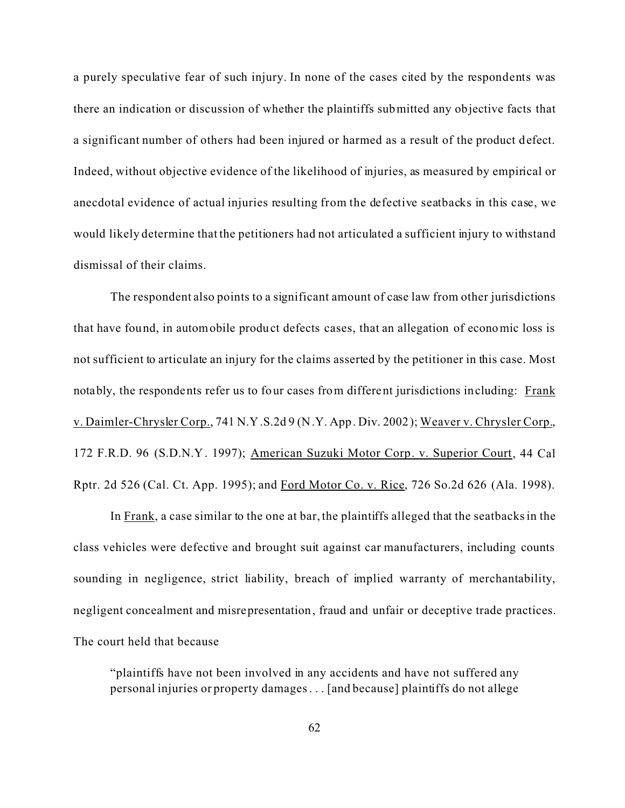a purely speculative fear of such injury. In none of the cases cited by the respondents was there an indication or discussion of whether the plaintiffs submitted any objective facts that a significant number of others had been injured or harmed as a result of the product defect. Indeed, without objective evidence of the likelihood of injuries, as measured by empirical or anecdotal evidence of actual injuries resulting from the defective seatbacks in this case, we would likely determine that the petitioners had not articulated a sufficient injury to withstand dismissal of their claims.

The respondent also points to a significant amount of case law from other jurisdictions that have found, in automobile product defects cases, that an allegation of economic loss is not sufficient to articulate an injury for the claims asserted by the petitioner in this case. Most notably, the respondents refer us to four cases from different jurisdictions including: Frank v. Daimler-Chrysler Corp., 741 N.Y.S.2d 9 (N.Y. App. Div. 2002); Weaver v. Chrysler Corp., 172 F.R.D. 96 (S.D.N.Y. 1997); American Suzuki Motor Corp. v. Superior Court, 44 Cal Rptr. 2d 526 (Cal. Ct. App. 1995); and Ford Motor Co. v. Rice, 726 So.2d 626 (Ala. 1998).

In Frank, a case similar to the one at bar, the plaintiffs alleged that the seatbacks in the class vehicles were defective and brought suit against car manufacturers, including counts sounding in negligence, strict liability, breach of implied warranty of merchantability, negligent concealment and misrepresentation, fraud and unfair or deceptive trade practices. The court held that because

"plaintiffs have not been involved in any accidents and have not suffered any personal injuries or property damages . . . [and because] plaintiffs do not allege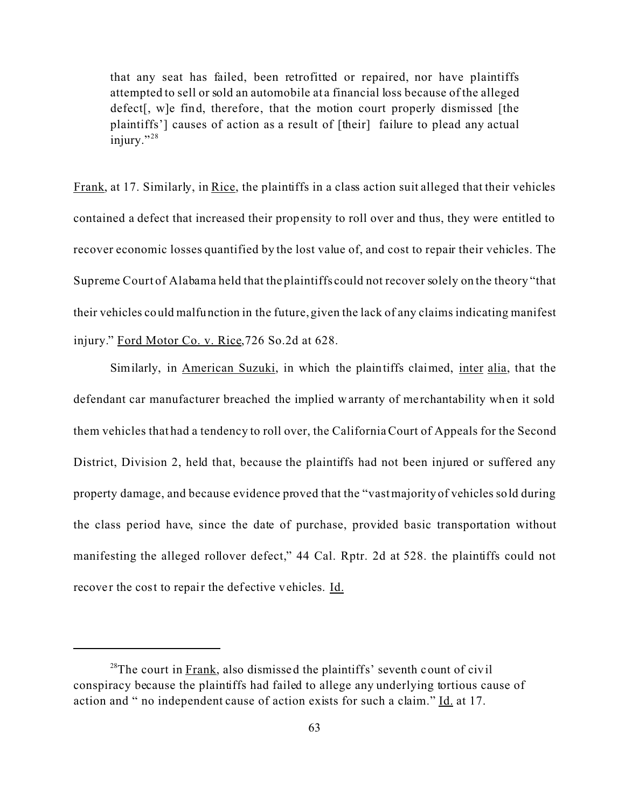that any seat has failed, been retrofitted or repaired, nor have plaintiffs attempted to sell or sold an automobile at a financial loss because of the alleged defect[, w]e find, therefore, that the motion court properly dismissed [the plaintiffs'] causes of action as a result of [their] failure to plead any actual injury."<sup>28</sup>

Frank, at 17. Similarly, in Rice, the plaintiffs in a class action suit alleged that their vehicles contained a defect that increased their propensity to roll over and thus, they were entitled to recover economic losses quantified by the lost value of, and cost to repair their vehicles. The Supreme Court of Alabama held that the plaintiffs could not recover solely on the theory "that their vehicles could malfunction in the future, given the lack of any claims indicating manifest injury." Ford Motor Co. v. Rice,726 So.2d at 628.

Similarly, in American Suzuki, in which the plaintiffs claimed, inter alia, that the defendant car manufacturer breached the implied warranty of me rchantability when it sold them vehicles that had a tendency to roll over, the California Court of Appeals for the Second District, Division 2, held that, because the plaintiffs had not been injured or suffered any property damage, and because evidence proved that the "vast majority of vehicles sold during the class period have, since the date of purchase, provided basic transportation without manifesting the alleged rollover defect," 44 Cal. Rptr. 2d at 528. the plaintiffs could not recover the cost to repair the defective vehicles. Id.

 $^{28}$ The court in Frank, also dismissed the plaintiffs' seventh count of civil conspiracy because the plaintiffs had failed to allege any underlying tortious cause of action and " no independent cause of action exists for such a claim." Id. at 17.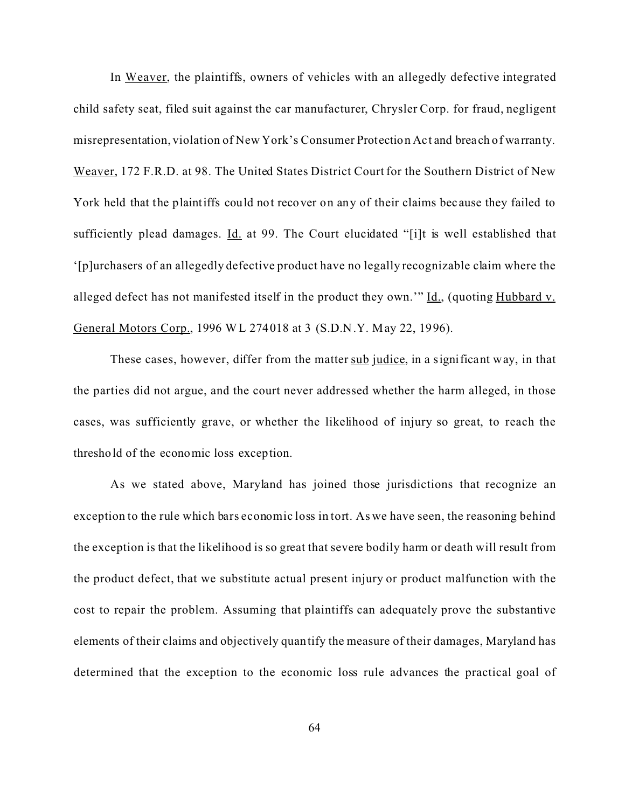In Weaver, the plaintiffs, owners of vehicles with an allegedly defective integrated child safety seat, filed suit against the car manufacturer, Chrysler Corp. for fraud, negligent misrepresentation, violation of New York's Consumer Protection Ac t and breach of wa rranty. Weaver, 172 F.R.D. at 98. The United States District Court for the Southern District of New York held that the plaintiffs could not recover on any of their claims bec ause they failed to sufficiently plead damages. Id. at 99. The Court elucidated "[i]t is well established that '[p]urchasers of an allegedly defective product have no legally recognizable claim where the alleged defect has not manifested itself in the product they own."  $\underline{Id}$ , (quoting Hubbard v. General Motors Corp., 1996 WL 274018 at 3 (S.D.N.Y. May 22, 1996).

These cases, however, differ from the matter sub judice, in a significant way, in that the parties did not argue, and the court never addressed whether the harm alleged, in those cases, was sufficiently grave, or whether the likelihood of injury so great, to reach the threshold of the economic loss exception.

As we stated above, Maryland has joined those jurisdictions that recognize an exception to the rule which bars economic loss in tort. As we have seen, the reasoning behind the exception is that the likelihood is so great that severe bodily harm or death will result from the product defect, that we substitute actual present injury or product malfunction with the cost to repair the problem. Assuming that plaintiffs can adequately prove the substantive elements of their claims and objectively quantify the measure of their damages, Maryland has determined that the exception to the economic loss rule advances the practical goal of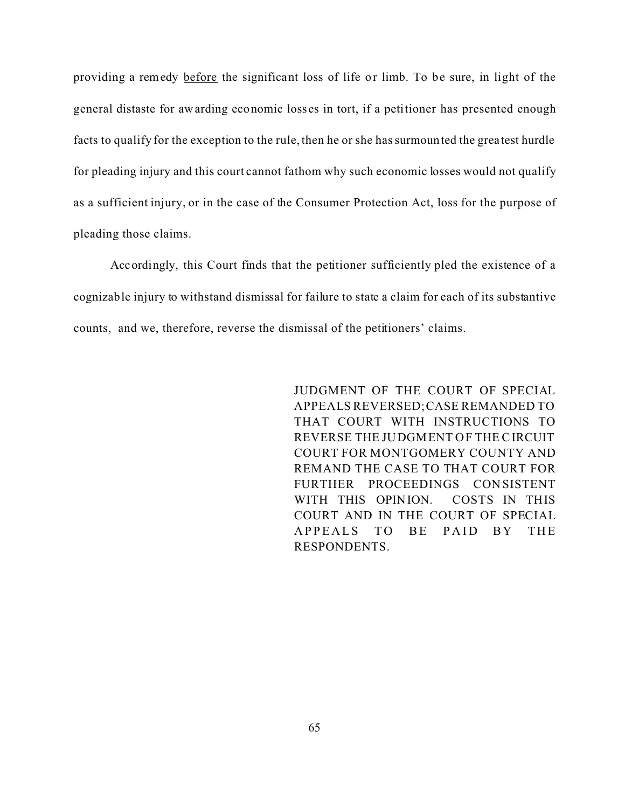providing a remedy before the significant loss of life or limb. To be sure, in light of the general distaste for awarding economic losses in tort, if a petitioner has presented enough facts to qualify for the exception to the rule, then he or she has surmounted the greatest hurdle for pleading injury and this court cannot fathom why such economic losses would not qualify as a sufficient injury, or in the case of the Consumer Protection Act, loss for the purpose of pleading those claims.

Accordingly, this Court finds that the petitioner sufficiently pled the existence of a cognizable injury to withstand dismissal for failure to state a claim for each of its substantive counts, and we, therefore, reverse the dismissal of the petitioners' claims.

> JUDGMENT OF THE COURT OF SPECIAL APPEALS REVERSED;CASE REMANDED TO THAT COURT WITH INSTRUCTIONS TO REVERSE THE JUDGMENT OF THE CIRCUIT COURT FOR MONTGOMERY COUNTY AND REMAND THE CASE TO THAT COURT FOR FURTHER PROCEEDINGS CON SISTENT WITH THIS OPINION. COSTS IN THIS COURT AND IN THE COURT OF SPECIAL APPEALS TO BE PAID BY THE RESPONDENTS.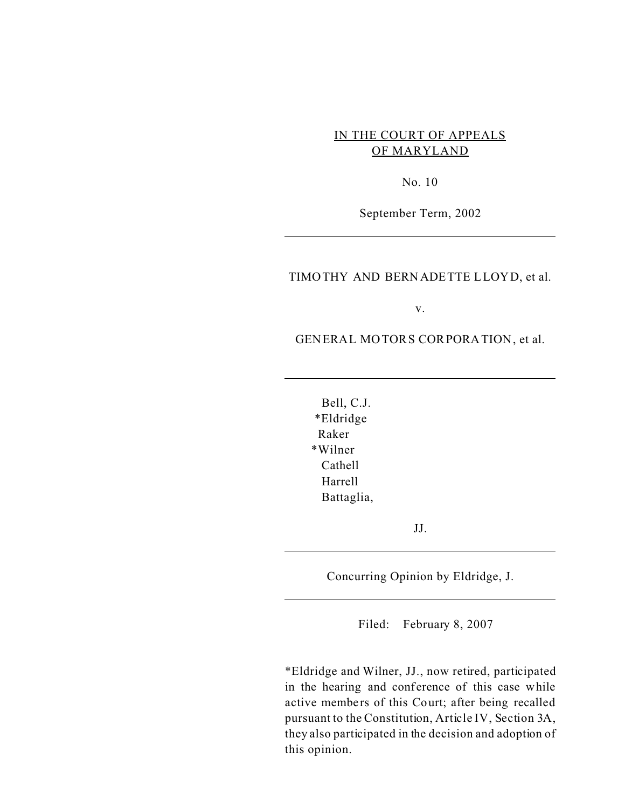# IN THE COURT OF APPEALS OF MARYLAND

No. 10

September Term, 2002

# TIMOTHY AND BERNADETTE LLOYD, et al.

v.

GENERAL MOTORS CORPORATION, et al.

Bell, C.J. \*Eldridge Raker \*Wilner Cathell Harrell Battaglia,

JJ.

Concurring Opinion by Eldridge, J.

Filed: February 8, 2007

\*Eldridge and Wilner, JJ., now retired, participated in the hearing and conference of this case while active members of this Court; after being recalled pursuant to the Constitution, Article IV, Section 3A, they also participated in the decision and adoption of this opinion.